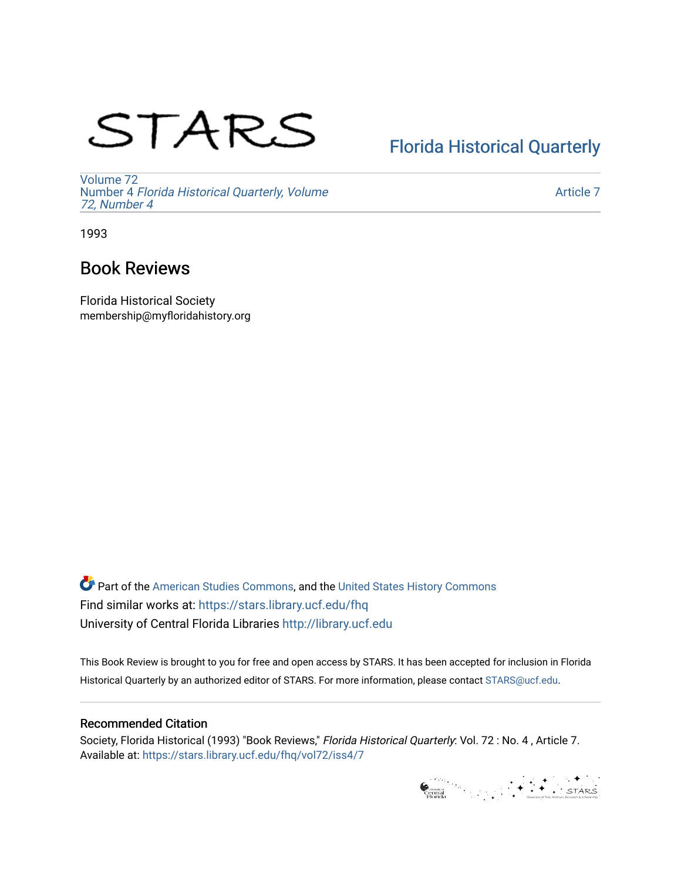# STARS

# [Florida Historical Quarterly](https://stars.library.ucf.edu/fhq)

[Volume 72](https://stars.library.ucf.edu/fhq/vol72) Number 4 [Florida Historical Quarterly, Volume](https://stars.library.ucf.edu/fhq/vol72/iss4)  [72, Number 4](https://stars.library.ucf.edu/fhq/vol72/iss4)

[Article 7](https://stars.library.ucf.edu/fhq/vol72/iss4/7) 

1993

# Book Reviews

Florida Historical Society membership@myfloridahistory.org

**C** Part of the [American Studies Commons](http://network.bepress.com/hgg/discipline/439?utm_source=stars.library.ucf.edu%2Ffhq%2Fvol72%2Fiss4%2F7&utm_medium=PDF&utm_campaign=PDFCoverPages), and the United States History Commons Find similar works at: <https://stars.library.ucf.edu/fhq> University of Central Florida Libraries [http://library.ucf.edu](http://library.ucf.edu/) 

This Book Review is brought to you for free and open access by STARS. It has been accepted for inclusion in Florida Historical Quarterly by an authorized editor of STARS. For more information, please contact [STARS@ucf.edu.](mailto:STARS@ucf.edu)

# Recommended Citation

Society, Florida Historical (1993) "Book Reviews," Florida Historical Quarterly: Vol. 72 : No. 4 , Article 7. Available at: [https://stars.library.ucf.edu/fhq/vol72/iss4/7](https://stars.library.ucf.edu/fhq/vol72/iss4/7?utm_source=stars.library.ucf.edu%2Ffhq%2Fvol72%2Fiss4%2F7&utm_medium=PDF&utm_campaign=PDFCoverPages) 

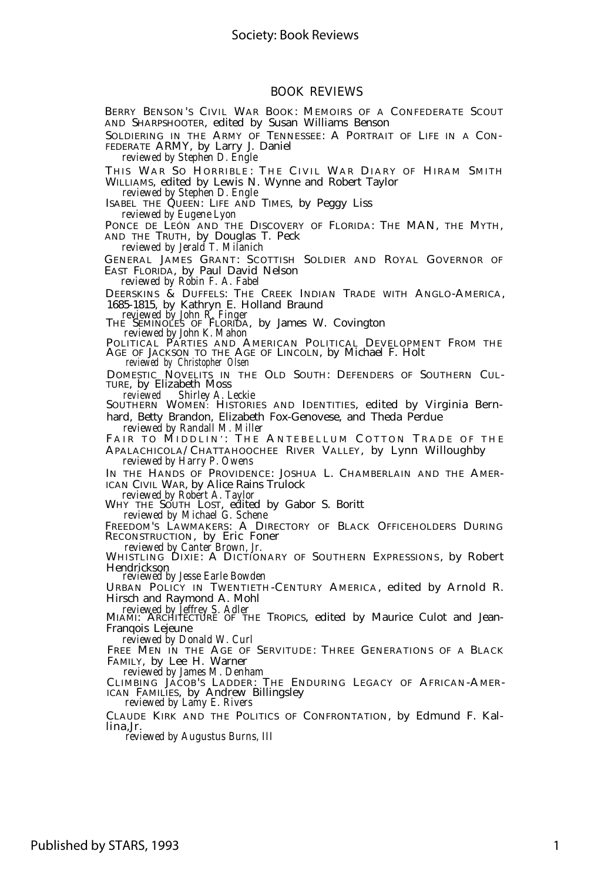BERRY BENSON'S CIVIL WAR BOOK: MEMOIRS OF A CONFEDERATE SCOUT AND SHARPSHOOTER, edited by Susan Williams Benson

SOLDIERING IN THE ARMY OF TENNESSEE: A PORTRAIT OF LIFE IN A CON-FEDERATE ARMY, by Larry J. Daniel

*reviewed by Stephen D. Engle*

THIS WAR SO HORRIBLE: THE CIVIL WAR DIARY OF HIRAM SMITH<br>Williams, edited by Lewis N. Wynne and Robert Taylor

*reviewed by Stephen D. Engle* ISABEL THE QUEEN: LIFE AND TIMES, by Peggy Liss

*reviewed by Eugene Lyon*

PONCE DE LEÓ N AND THE DISCOVERY OF FLORIDA: THE MAN, THE MYTH, AND THE TRUTH, by Douglas T. Peck

*reviewed by Jerald T. Milanich*

GENERAL JAMES GRANT: SCOTTISH SOLDIER AND ROYAL GOVERNOR OF EAST FLORIDA, by Paul David Nelson

*reviewed by Robin F. A. Fabel*

DEERSKINS & DUFFELS: THE CREEK INDIAN TRADE WITH ANGLO-AMERICA, 1685-1815, by Kathryn E. Holland Braund

*reviewed by John R. Finger* THE SEMINOLES OF FLORIDA, by James W. Covington *reviewed by John K. Mahon*

POLITICAL PARTIES AND AMERICAN POLITICAL DEVELOPMENT FROM THE AGE OF JACKSON TO THE AGE OF LINCOLN, by Michael F. Holt

*reviewed by Christopher Olsen*

DOMESTIC NOVELITS IN THE OLD SOUTH: DEFENDERS OF SOUTHERN CUL-TURE, by Elizabeth Moss

*reviewed Shirley A. Leckie* SOUTHERN WOMEN: HISTORIES AND IDENTITIES, edited by Virginia Bernhard, Betty Brandon, Elizabeth Fox-Genovese, and Theda Perdue

*reviewed by Randall M. Miller*<br>FAIR TO MIDDLIN': THE ANTEBELLUM COTTON TRADE OF THE APALACHICOLA/CHATTAHOOCHEE RIVER VALLEY, by Lynn Willoughby *reviewed by Harry P. Owens*

IN THE HANDS OF PROVIDENCE: JOSHUA L. CHAMBERLAIN AND THE AMER-ICAN CIVIL WAR, by Alice Rains Trulock

*reviewed by Robert A. Taylor* WHY THE SOUTH LOST, edited by Gabor S. Boritt *reviewed by Michael G. Schene*

FREEDOM'S LAWMAKERS: A DIRECTORY OF BLACK OFFICEHOLDERS DURING RECONSTRUCTION, by Eric Foner

*reviewed by Canter Brown, Jr.* WHISTLING DIXIE: A DICTIONARY OF SOUTHERN EXPRESSIONS , by Robert **Hendrickson** 

*reviewed by Jesse Earle Bowden*

URBAN POLICY IN TWENTIETH -CENTURY AMERICA, edited by Arnold R. Hirsch and Raymond A. Mohl

*reviewed by Jeffrey S. Adler* MIAMI: ARCHITECTURE OF THE TROPICS, edited by Maurice Culot and Jean-Franqois Lejeune

*reviewed by Donald W. Curl*

FREE MEN IN THE AGE OF SERVITUDE: THREE GENERATIONS OF A BLACK FAMILY, by Lee H. Warner

*reviewed by James M. Denham*

CLIMBING JACOB'S LADDER: THE ENDURING LEGACY OF AFRICAN-AMER-ICAN FAMILIES, by Andrew Billingsley *reviewed by Lamy E. Rivers*

CLAUDE KIRK AND THE POLITICS OF CONFRONTATION, by Edmund F. Kallina,Jr.

*reviewed by Augustus Burns, III*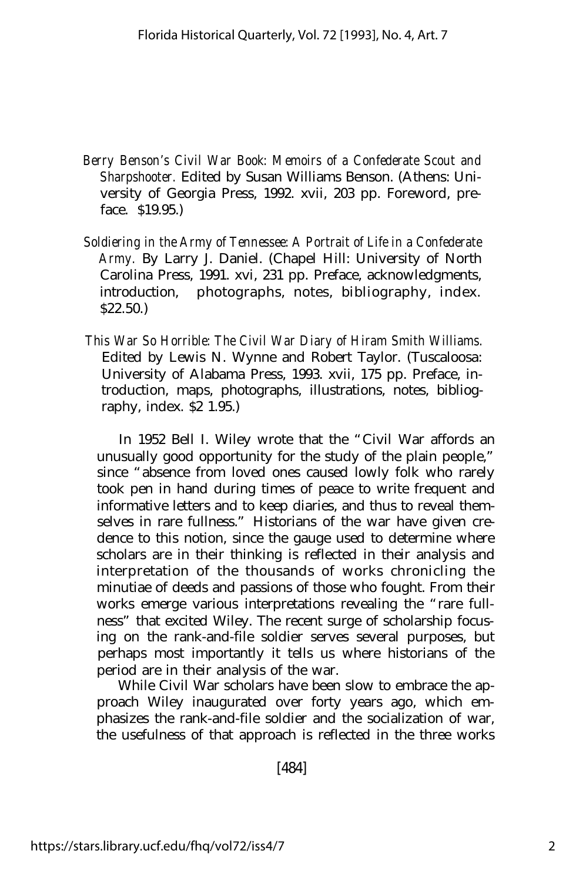- *Berry Benson's Civil War Book: Memoirs of a Confederate Scout and Sharpshooter.* Edited by Susan Williams Benson. (Athens: University of Georgia Press, 1992. xvii, 203 pp. Foreword, preface. \$19.95.)
- *Soldiering in the Army of Tennessee: A Portrait of Life in a Confederate Army.* By Larry J. Daniel. (Chapel Hill: University of North Carolina Press, 1991. xvi, 231 pp. Preface, acknowledgments, introduction, photographs, notes, bibliography, index. \$22.50.)
- *This War So Horrible: The Civil War Diary of Hiram Smith Williams.* Edited by Lewis N. Wynne and Robert Taylor. (Tuscaloosa: University of Alabama Press, 1993. xvii, 175 pp. Preface, introduction, maps, photographs, illustrations, notes, bibliography, index. \$2 1.95.)

In 1952 Bell I. Wiley wrote that the "Civil War affords an unusually good opportunity for the study of the plain people," since "absence from loved ones caused lowly folk who rarely took pen in hand during times of peace to write frequent and informative letters and to keep diaries, and thus to reveal themselves in rare fullness." Historians of the war have given credence to this notion, since the gauge used to determine where scholars are in their thinking is reflected in their analysis and interpretation of the thousands of works chronicling the minutiae of deeds and passions of those who fought. From their works emerge various interpretations revealing the "rare fullness" that excited Wiley. The recent surge of scholarship focusing on the rank-and-file soldier serves several purposes, but perhaps most importantly it tells us where historians of the period are in their analysis of the war.

While Civil War scholars have been slow to embrace the approach Wiley inaugurated over forty years ago, which emphasizes the rank-and-file soldier and the socialization of war, the usefulness of that approach is reflected in the three works

[484]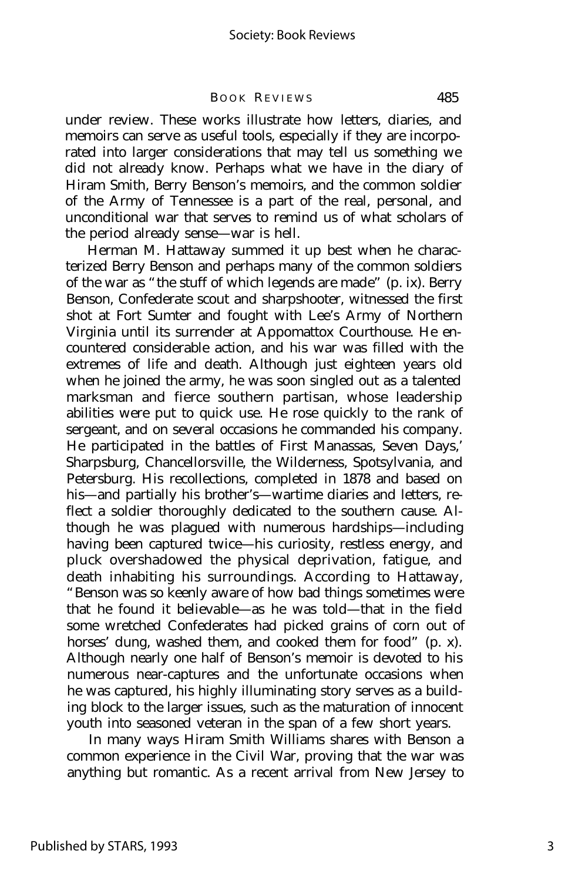under review. These works illustrate how letters, diaries, and memoirs can serve as useful tools, especially if they are incorporated into larger considerations that may tell us something we did not already know. Perhaps what we have in the diary of Hiram Smith, Berry Benson's memoirs, and the common soldier of the Army of Tennessee is a part of the real, personal, and unconditional war that serves to remind us of what scholars of the period already sense— war is hell.

Herman M. Hattaway summed it up best when he characterized Berry Benson and perhaps many of the common soldiers of the war as "the stuff of which legends are made" (p. ix). Berry Benson, Confederate scout and sharpshooter, witnessed the first shot at Fort Sumter and fought with Lee's Army of Northern Virginia until its surrender at Appomattox Courthouse. He encountered considerable action, and his war was filled with the extremes of life and death. Although just eighteen years old when he joined the army, he was soon singled out as a talented marksman and fierce southern partisan, whose leadership abilities were put to quick use. He rose quickly to the rank of sergeant, and on several occasions he commanded his company. He participated in the battles of First Manassas, Seven Days,' Sharpsburg, Chancellorsville, the Wilderness, Spotsylvania, and Petersburg. His recollections, completed in 1878 and based on his— and partially his brother's— wartime diaries and letters, reflect a soldier thoroughly dedicated to the southern cause. Although he was plagued with numerous hardships— including having been captured twice— his curiosity, restless energy, and pluck overshadowed the physical deprivation, fatigue, and death inhabiting his surroundings. According to Hattaway, "Benson was so keenly aware of how bad things sometimes were that he found it believable— as he was told— that in the field some wretched Confederates had picked grains of corn out of horses' dung, washed them, and cooked them for food" (p. x). Although nearly one half of Benson's memoir is devoted to his numerous near-captures and the unfortunate occasions when he was captured, his highly illuminating story serves as a building block to the larger issues, such as the maturation of innocent youth into seasoned veteran in the span of a few short years.

In many ways Hiram Smith Williams shares with Benson a common experience in the Civil War, proving that the war was anything but romantic. As a recent arrival from New Jersey to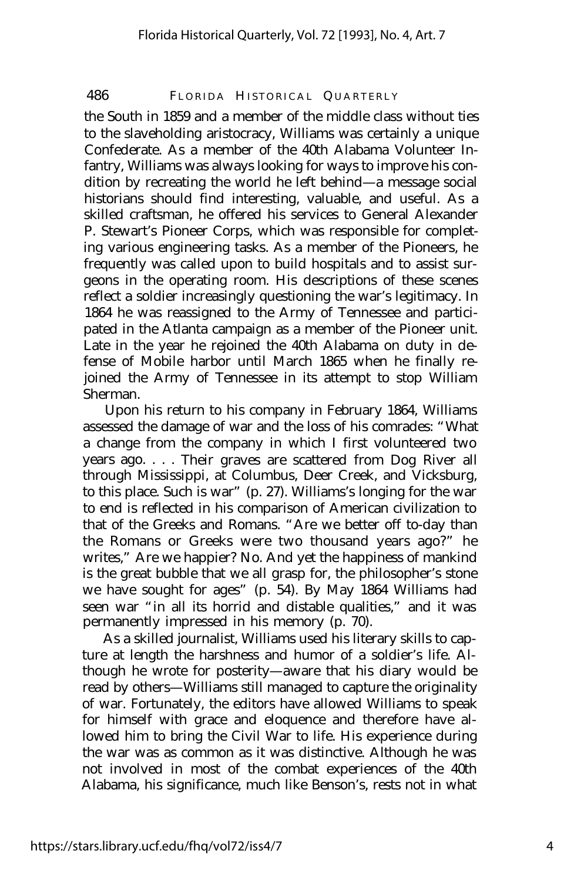the South in 1859 and a member of the middle class without ties to the slaveholding aristocracy, Williams was certainly a unique Confederate. As a member of the 40th Alabama Volunteer Infantry, Williams was always looking for ways to improve his condition by recreating the world he left behind— a message social historians should find interesting, valuable, and useful. As a skilled craftsman, he offered his services to General Alexander P. Stewart's Pioneer Corps, which was responsible for completing various engineering tasks. As a member of the Pioneers, he frequently was called upon to build hospitals and to assist surgeons in the operating room. His descriptions of these scenes reflect a soldier increasingly questioning the war's legitimacy. In 1864 he was reassigned to the Army of Tennessee and participated in the Atlanta campaign as a member of the Pioneer unit. Late in the year he rejoined the 40th Alabama on duty in defense of Mobile harbor until March 1865 when he finally rejoined the Army of Tennessee in its attempt to stop William Sherman.

Upon his return to his company in February 1864, Williams assessed the damage of war and the loss of his comrades: "What a change from the company in which I first volunteered two years ago. . . . Their graves are scattered from Dog River all through Mississippi, at Columbus, Deer Creek, and Vicksburg, to this place. Such is war" (p. 27). Williams's longing for the war to end is reflected in his comparison of American civilization to that of the Greeks and Romans. "Are we better off to-day than the Romans or Greeks were two thousand years ago?" he writes," Are we happier? No. And yet the happiness of mankind is the great bubble that we all grasp for, the philosopher's stone we have sought for ages" (p. 54). By May 1864 Williams had seen war "in all its horrid and distable qualities," and it was permanently impressed in his memory (p. 70).

As a skilled journalist, Williams used his literary skills to capture at length the harshness and humor of a soldier's life. Although he wrote for posterity— aware that his diary would be read by others— Williams still managed to capture the originality of war. Fortunately, the editors have allowed Williams to speak for himself with grace and eloquence and therefore have allowed him to bring the Civil War to life. His experience during the war was as common as it was distinctive. Although he was not involved in most of the combat experiences of the 40th Alabama, his significance, much like Benson's, rests not in what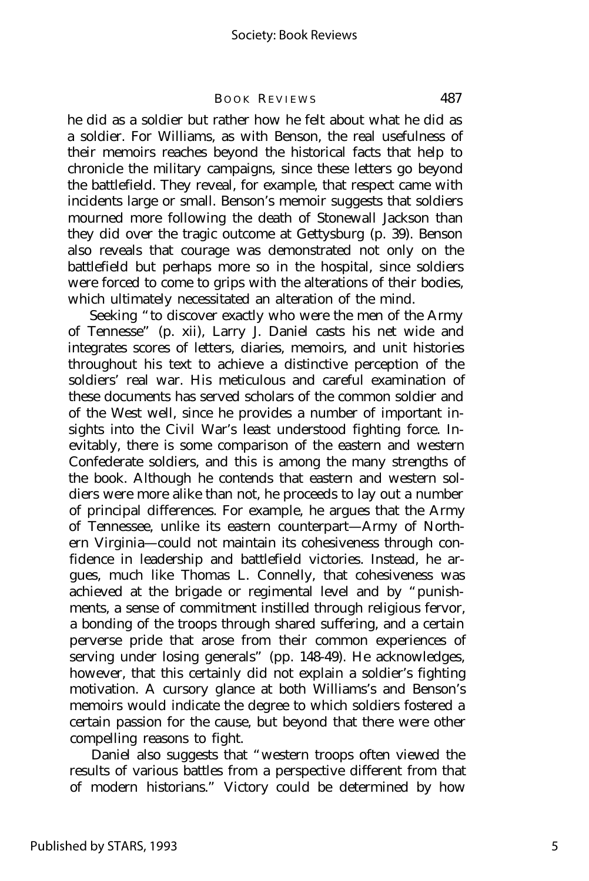he did as a soldier but rather how he felt about what he did as a soldier. For Williams, as with Benson, the real usefulness of their memoirs reaches beyond the historical facts that help to chronicle the military campaigns, since these letters go beyond the battlefield. They reveal, for example, that respect came with incidents large or small. Benson's memoir suggests that soldiers mourned more following the death of Stonewall Jackson than they did over the tragic outcome at Gettysburg (p. 39). Benson also reveals that courage was demonstrated not only on the battlefield but perhaps more so in the hospital, since soldiers were forced to come to grips with the alterations of their bodies, which ultimately necessitated an alteration of the mind.

Seeking "to discover exactly who were the men of the Army of Tennesse" (p. xii), Larry J. Daniel casts his net wide and integrates scores of letters, diaries, memoirs, and unit histories throughout his text to achieve a distinctive perception of the soldiers' real war. His meticulous and careful examination of these documents has served scholars of the common soldier and of the West well, since he provides a number of important insights into the Civil War's least understood fighting force. Inevitably, there is some comparison of the eastern and western Confederate soldiers, and this is among the many strengths of the book. Although he contends that eastern and western soldiers were more alike than not, he proceeds to lay out a number of principal differences. For example, he argues that the Army of Tennessee, unlike its eastern counterpart— Army of Northern Virginia— could not maintain its cohesiveness through confidence in leadership and battlefield victories. Instead, he argues, much like Thomas L. Connelly, that cohesiveness was achieved at the brigade or regimental level and by "punishments, a sense of commitment instilled through religious fervor, a bonding of the troops through shared suffering, and a certain perverse pride that arose from their common experiences of serving under losing generals" (pp. 148-49). He acknowledges, however, that this certainly did not explain a soldier's fighting motivation. A cursory glance at both Williams's and Benson's memoirs would indicate the degree to which soldiers fostered a certain passion for the cause, but beyond that there were other compelling reasons to fight.

Daniel also suggests that "western troops often viewed the results of various battles from a perspective different from that of modern historians." Victory could be determined by how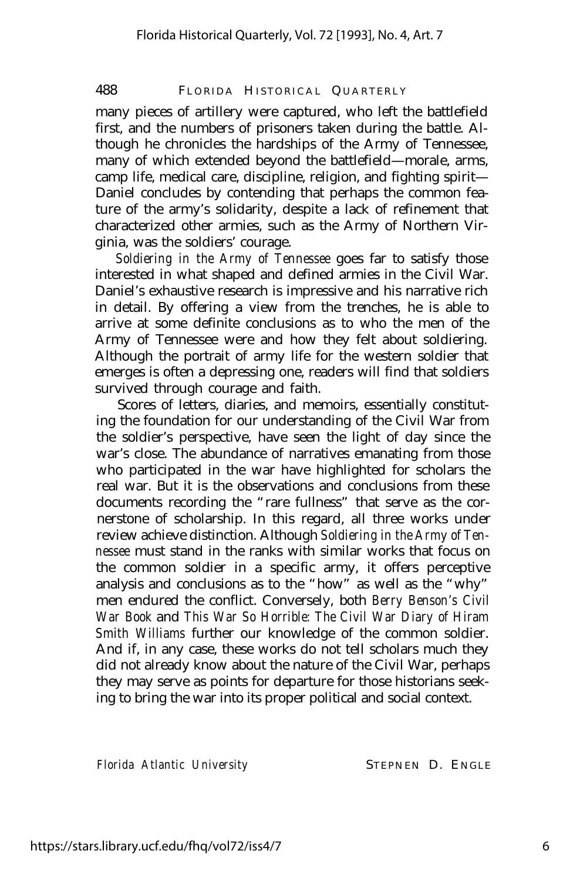many pieces of artillery were captured, who left the battlefield first, and the numbers of prisoners taken during the battle. Although he chronicles the hardships of the Army of Tennessee, many of which extended beyond the battlefield— morale, arms, camp life, medical care, discipline, religion, and fighting spirit— Daniel concludes by contending that perhaps the common feature of the army's solidarity, despite a lack of refinement that characterized other armies, such as the Army of Northern Virginia, was the soldiers' courage.

*Soldiering in the Army of Tennessee* goes far to satisfy those interested in what shaped and defined armies in the Civil War. Daniel's exhaustive research is impressive and his narrative rich in detail. By offering a view from the trenches, he is able to arrive at some definite conclusions as to who the men of the Army of Tennessee were and how they felt about soldiering. Although the portrait of army life for the western soldier that emerges is often a depressing one, readers will find that soldiers survived through courage and faith.

Scores of letters, diaries, and memoirs, essentially constituting the foundation for our understanding of the Civil War from the soldier's perspective, have seen the light of day since the war's close. The abundance of narratives emanating from those who participated in the war have highlighted for scholars the real war. But it is the observations and conclusions from these documents recording the "rare fullness" that serve as the cornerstone of scholarship. In this regard, all three works under review achieve distinction. Although *Soldiering in the Army of Tennessee* must stand in the ranks with similar works that focus on the common soldier in a specific army, it offers perceptive analysis and conclusions as to the "how" as well as the "why" men endured the conflict. Conversely, both *Berry Benson's Civil War Book* and *This War So Horrible: The Civil War Diary of Hiram Smith Williams* further our knowledge of the common soldier. And if, in any case, these works do not tell scholars much they did not already know about the nature of the Civil War, perhaps they may serve as points for departure for those historians seeking to bring the war into its proper political and social context.

Florida Atlantic University STEPNEN D. ENGLE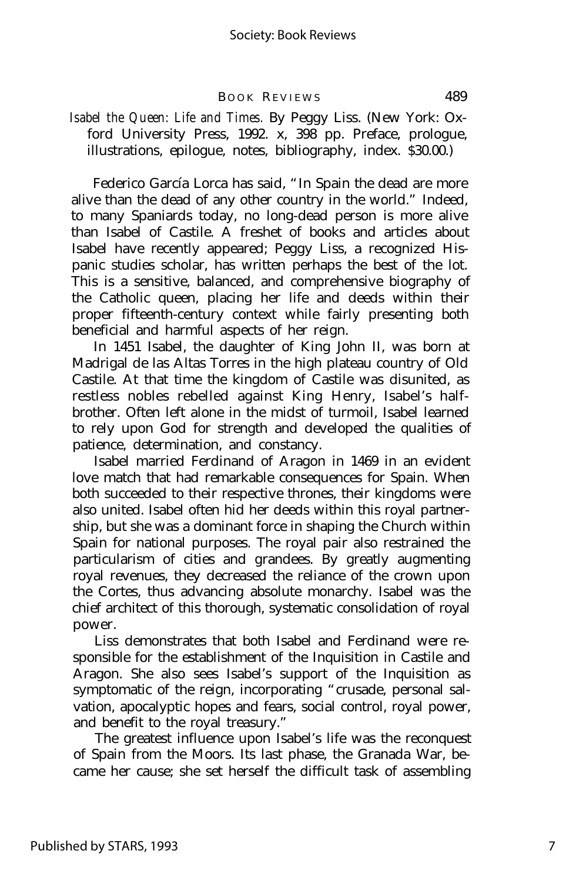*Isabel the Queen: Life and Times.* By Peggy Liss. (New York: Oxford University Press, 1992. x, 398 pp. Preface, prologue, illustrations, epilogue, notes, bibliography, index. \$30.00.)

Federico García Lorca has said, "In Spain the dead are more alive than the dead of any other country in the world." Indeed, to many Spaniards today, no long-dead person is more alive than Isabel of Castile. A freshet of books and articles about Isabel have recently appeared; Peggy Liss, a recognized Hispanic studies scholar, has written perhaps the best of the lot. This is a sensitive, balanced, and comprehensive biography of the Catholic queen, placing her life and deeds within their proper fifteenth-century context while fairly presenting both beneficial and harmful aspects of her reign.

In 1451 Isabel, the daughter of King John II, was born at Madrigal de las Altas Torres in the high plateau country of Old Castile. At that time the kingdom of Castile was disunited, as restless nobles rebelled against King Henry, Isabel's halfbrother. Often left alone in the midst of turmoil, Isabel learned to rely upon God for strength and developed the qualities of patience, determination, and constancy.

Isabel married Ferdinand of Aragon in 1469 in an evident love match that had remarkable consequences for Spain. When both succeeded to their respective thrones, their kingdoms were also united. Isabel often hid her deeds within this royal partnership, but she was a dominant force in shaping the Church within Spain for national purposes. The royal pair also restrained the particularism of cities and grandees. By greatly augmenting royal revenues, they decreased the reliance of the crown upon the Cortes, thus advancing absolute monarchy. Isabel was the chief architect of this thorough, systematic consolidation of royal power.

Liss demonstrates that both Isabel and Ferdinand were responsible for the establishment of the Inquisition in Castile and Aragon. She also sees Isabel's support of the Inquisition as symptomatic of the reign, incorporating "crusade, personal salvation, apocalyptic hopes and fears, social control, royal power, and benefit to the royal treasury."

The greatest influence upon Isabel's life was the reconquest of Spain from the Moors. Its last phase, the Granada War, became her cause; she set herself the difficult task of assembling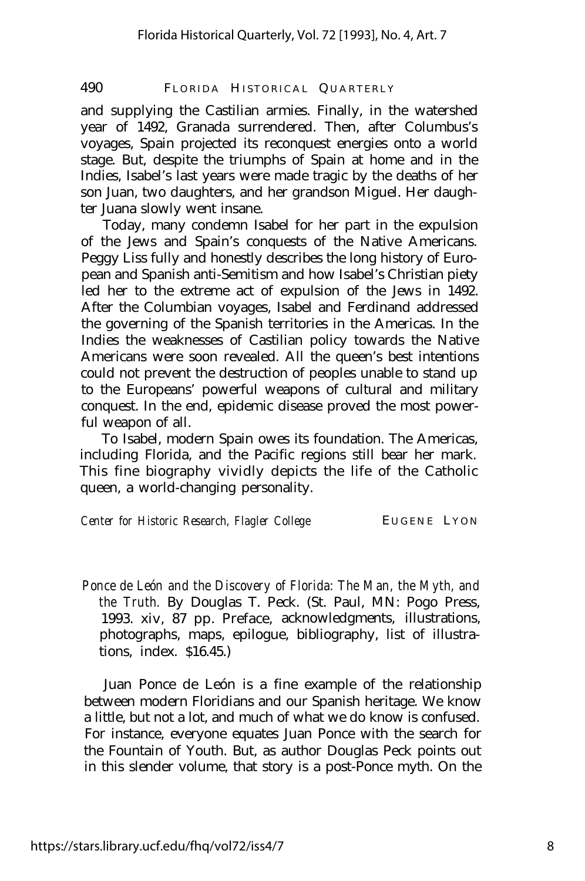and supplying the Castilian armies. Finally, in the watershed year of 1492, Granada surrendered. Then, after Columbus's voyages, Spain projected its reconquest energies onto a world stage. But, despite the triumphs of Spain at home and in the Indies, Isabel's last years were made tragic by the deaths of her son Juan, two daughters, and her grandson Miguel. Her daughter Juana slowly went insane.

Today, many condemn Isabel for her part in the expulsion of the Jews and Spain's conquests of the Native Americans. Peggy Liss fully and honestly describes the long history of European and Spanish anti-Semitism and how Isabel's Christian piety led her to the extreme act of expulsion of the Jews in 1492. After the Columbian voyages, Isabel and Ferdinand addressed the governing of the Spanish territories in the Americas. In the Indies the weaknesses of Castilian policy towards the Native Americans were soon revealed. All the queen's best intentions could not prevent the destruction of peoples unable to stand up to the Europeans' powerful weapons of cultural and military conquest. In the end, epidemic disease proved the most powerful weapon of all.

To Isabel, modern Spain owes its foundation. The Americas, including Florida, and the Pacific regions still bear her mark. This fine biography vividly depicts the life of the Catholic queen, a world-changing personality.

**Center for Historic Research, Flagler College EUGENE LYON** 

*Ponce de León and the Discovery of Florida: The Man, the Myth, and the Truth.* By Douglas T. Peck. (St. Paul, MN: Pogo Press, 1993. xiv, 87 pp. Preface, acknowledgments, illustrations, photographs, maps, epilogue, bibliography, list of illustrations, index. \$16.45.)

Juan Ponce de León is a fine example of the relationship between modern Floridians and our Spanish heritage. We know a little, but not a lot, and much of what we do know is confused. For instance, everyone equates Juan Ponce with the search for the Fountain of Youth. But, as author Douglas Peck points out in this slender volume, that story is a post-Ponce myth. On the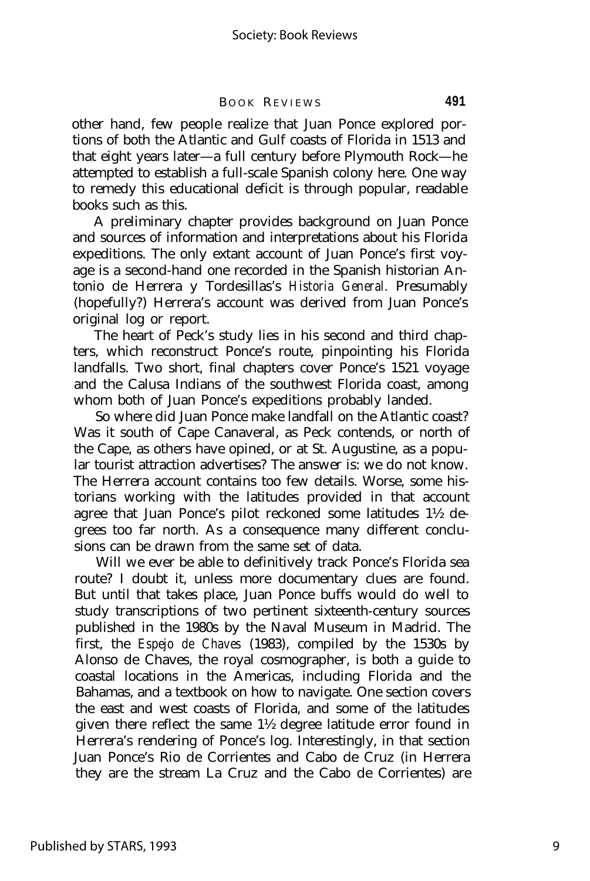other hand, few people realize that Juan Ponce explored portions of both the Atlantic and Gulf coasts of Florida in 1513 and that eight years later— a full century before Plymouth Rock— he attempted to establish a full-scale Spanish colony here. One way to remedy this educational deficit is through popular, readable books such as this.

A preliminary chapter provides background on Juan Ponce and sources of information and interpretations about his Florida expeditions. The only extant account of Juan Ponce's first voyage is a second-hand one recorded in the Spanish historian Antonio de Herrera y Tordesillas's *Historia General.* Presumably (hopefully?) Herrera's account was derived from Juan Ponce's original log or report.

The heart of Peck's study lies in his second and third chapters, which reconstruct Ponce's route, pinpointing his Florida landfalls. Two short, final chapters cover Ponce's 1521 voyage and the Calusa Indians of the southwest Florida coast, among whom both of Juan Ponce's expeditions probably landed.

So where did Juan Ponce make landfall on the Atlantic coast? Was it south of Cape Canaveral, as Peck contends, or north of the Cape, as others have opined, or at St. Augustine, as a popular tourist attraction advertises? The answer is: we do not know. The Herrera account contains too few details. Worse, some historians working with the latitudes provided in that account agree that Juan Ponce's pilot reckoned some latitudes 1½ degrees too far north. As a consequence many different conclusions can be drawn from the same set of data.

Will we ever be able to definitively track Ponce's Florida sea route? I doubt it, unless more documentary clues are found. But until that takes place, Juan Ponce buffs would do well to study transcriptions of two pertinent sixteenth-century sources published in the 1980s by the Naval Museum in Madrid. The first, the *Espejo de Chaves* (1983), compiled by the 1530s by Alonso de Chaves, the royal cosmographer, is both a guide to coastal locations in the Americas, including Florida and the Bahamas, and a textbook on how to navigate. One section covers the east and west coasts of Florida, and some of the latitudes given there reflect the same 1½ degree latitude error found in Herrera's rendering of Ponce's log. Interestingly, in that section Juan Ponce's Rio de Corrientes and Cabo de Cruz (in Herrera they are the stream La Cruz and the Cabo de Corrientes) are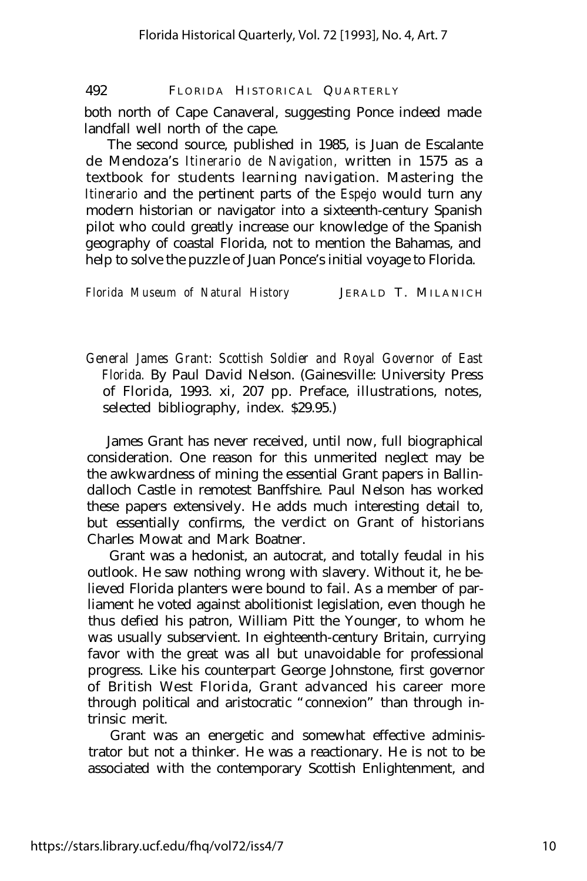both north of Cape Canaveral, suggesting Ponce indeed made landfall well north of the cape.

The second source, published in 1985, is Juan de Escalante de Mendoza's *Itinerario de Navigation,* written in 1575 as a textbook for students learning navigation. Mastering the *Itinerario* and the pertinent parts of the *Espejo* would turn any modern historian or navigator into a sixteenth-century Spanish pilot who could greatly increase our knowledge of the Spanish geography of coastal Florida, not to mention the Bahamas, and help to solve the puzzle of Juan Ponce's initial voyage to Florida.

Florida Museum of Natural History JERALD T. MILANICH

*General James Grant: Scottish Soldier and Royal Governor of East Florida.* By Paul David Nelson. (Gainesville: University Press of Florida, 1993. xi, 207 pp. Preface, illustrations, notes, selected bibliography, index. \$29.95.)

James Grant has never received, until now, full biographical consideration. One reason for this unmerited neglect may be the awkwardness of mining the essential Grant papers in Ballindalloch Castle in remotest Banffshire. Paul Nelson has worked these papers extensively. He adds much interesting detail to, but essentially confirms, the verdict on Grant of historians Charles Mowat and Mark Boatner.

Grant was a hedonist, an autocrat, and totally feudal in his outlook. He saw nothing wrong with slavery. Without it, he believed Florida planters were bound to fail. As a member of parliament he voted against abolitionist legislation, even though he thus defied his patron, William Pitt the Younger, to whom he was usually subservient. In eighteenth-century Britain, currying favor with the great was all but unavoidable for professional progress. Like his counterpart George Johnstone, first governor of British West Florida, Grant advanced his career more through political and aristocratic "connexion" than through intrinsic merit.

Grant was an energetic and somewhat effective administrator but not a thinker. He was a reactionary. He is not to be associated with the contemporary Scottish Enlightenment, and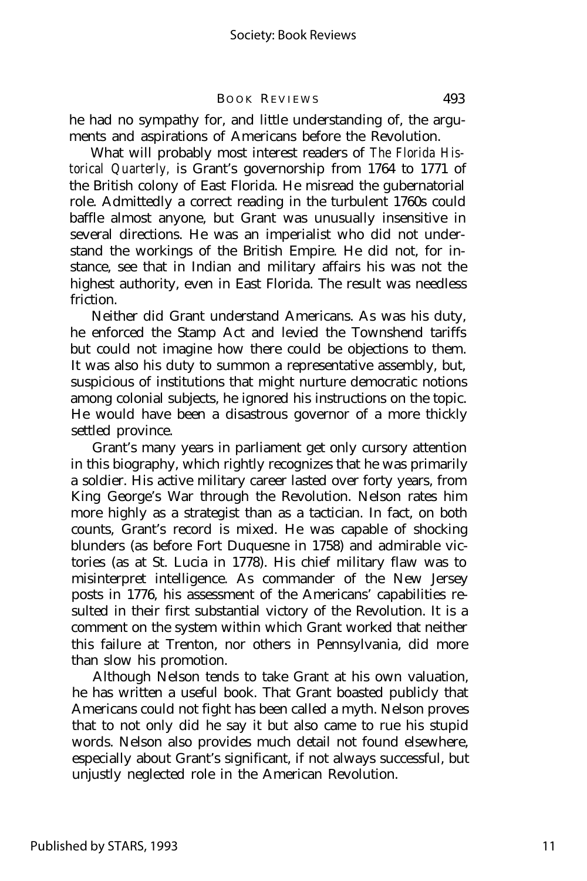he had no sympathy for, and little understanding of, the arguments and aspirations of Americans before the Revolution.

What will probably most interest readers of *The Florida Historical Quarterly,* is Grant's governorship from 1764 to 1771 of the British colony of East Florida. He misread the gubernatorial role. Admittedly a correct reading in the turbulent 1760s could baffle almost anyone, but Grant was unusually insensitive in several directions. He was an imperialist who did not understand the workings of the British Empire. He did not, for instance, see that in Indian and military affairs his was not the highest authority, even in East Florida. The result was needless friction.

Neither did Grant understand Americans. As was his duty, he enforced the Stamp Act and levied the Townshend tariffs but could not imagine how there could be objections to them. It was also his duty to summon a representative assembly, but, suspicious of institutions that might nurture democratic notions among colonial subjects, he ignored his instructions on the topic. He would have been a disastrous governor of a more thickly settled province.

Grant's many years in parliament get only cursory attention in this biography, which rightly recognizes that he was primarily a soldier. His active military career lasted over forty years, from King George's War through the Revolution. Nelson rates him more highly as a strategist than as a tactician. In fact, on both counts, Grant's record is mixed. He was capable of shocking blunders (as before Fort Duquesne in 1758) and admirable victories (as at St. Lucia in 1778). His chief military flaw was to misinterpret intelligence. As commander of the New Jersey posts in 1776, his assessment of the Americans' capabilities resulted in their first substantial victory of the Revolution. It is a comment on the system within which Grant worked that neither this failure at Trenton, nor others in Pennsylvania, did more than slow his promotion.

Although Nelson tends to take Grant at his own valuation, he has written a useful book. That Grant boasted publicly that Americans could not fight has been called a myth. Nelson proves that to not only did he say it but also came to rue his stupid words. Nelson also provides much detail not found elsewhere, especially about Grant's significant, if not always successful, but unjustly neglected role in the American Revolution.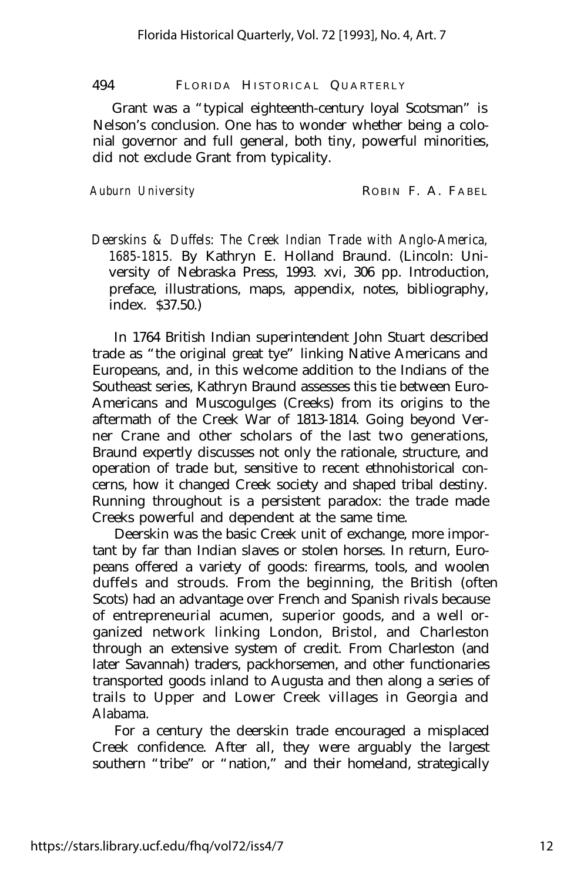Grant was a "typical eighteenth-century loyal Scotsman" is Nelson's conclusion. One has to wonder whether being a colonial governor and full general, both tiny, powerful minorities, did not exclude Grant from typicality.

*Auburn University* ROBIN F. A. FABEL

*Deerskins & Duffels: The Creek Indian Trade with Anglo-America, 1685-1815.* By Kathryn E. Holland Braund. (Lincoln: University of Nebraska Press, 1993. xvi, 306 pp. Introduction, preface, illustrations, maps, appendix, notes, bibliography, index. \$37.50.)

In 1764 British Indian superintendent John Stuart described trade as "the original great tye" linking Native Americans and Europeans, and, in this welcome addition to the Indians of the Southeast series, Kathryn Braund assesses this tie between Euro-Americans and Muscogulges (Creeks) from its origins to the aftermath of the Creek War of 1813-1814. Going beyond Verner Crane and other scholars of the last two generations, Braund expertly discusses not only the rationale, structure, and operation of trade but, sensitive to recent ethnohistorical concerns, how it changed Creek society and shaped tribal destiny. Running throughout is a persistent paradox: the trade made Creeks powerful and dependent at the same time.

Deerskin was the basic Creek unit of exchange, more important by far than Indian slaves or stolen horses. In return, Europeans offered a variety of goods: firearms, tools, and woolen duffels and strouds. From the beginning, the British (often Scots) had an advantage over French and Spanish rivals because of entrepreneurial acumen, superior goods, and a well organized network linking London, Bristol, and Charleston through an extensive system of credit. From Charleston (and later Savannah) traders, packhorsemen, and other functionaries transported goods inland to Augusta and then along a series of trails to Upper and Lower Creek villages in Georgia and Alabama.

For a century the deerskin trade encouraged a misplaced Creek confidence. After all, they were arguably the largest southern "tribe" or "nation," and their homeland, strategically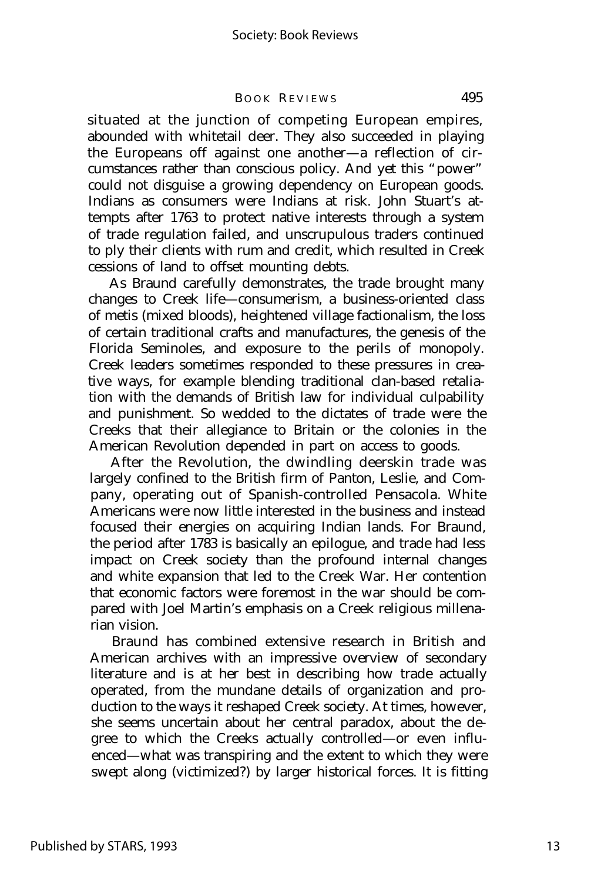situated at the junction of competing European empires, abounded with whitetail deer. They also succeeded in playing the Europeans off against one another— a reflection of circumstances rather than conscious policy. And yet this "power" could not disguise a growing dependency on European goods. Indians as consumers were Indians at risk. John Stuart's attempts after 1763 to protect native interests through a system of trade regulation failed, and unscrupulous traders continued to ply their clients with rum and credit, which resulted in Creek cessions of land to offset mounting debts.

As Braund carefully demonstrates, the trade brought many changes to Creek life— consumerism, a business-oriented class of metis (mixed bloods), heightened village factionalism, the loss of certain traditional crafts and manufactures, the genesis of the Florida Seminoles, and exposure to the perils of monopoly. Creek leaders sometimes responded to these pressures in creative ways, for example blending traditional clan-based retaliation with the demands of British law for individual culpability and punishment. So wedded to the dictates of trade were the Creeks that their allegiance to Britain or the colonies in the American Revolution depended in part on access to goods.

After the Revolution, the dwindling deerskin trade was largely confined to the British firm of Panton, Leslie, and Company, operating out of Spanish-controlled Pensacola. White Americans were now little interested in the business and instead focused their energies on acquiring Indian lands. For Braund, the period after 1783 is basically an epilogue, and trade had less impact on Creek society than the profound internal changes and white expansion that led to the Creek War. Her contention that economic factors were foremost in the war should be compared with Joel Martin's emphasis on a Creek religious millenarian vision.

Braund has combined extensive research in British and American archives with an impressive overview of secondary literature and is at her best in describing how trade actually operated, from the mundane details of organization and production to the ways it reshaped Creek society. At times, however, she seems uncertain about her central paradox, about the degree to which the Creeks actually controlled— or even influenced— what was transpiring and the extent to which they were swept along (victimized?) by larger historical forces. It is fitting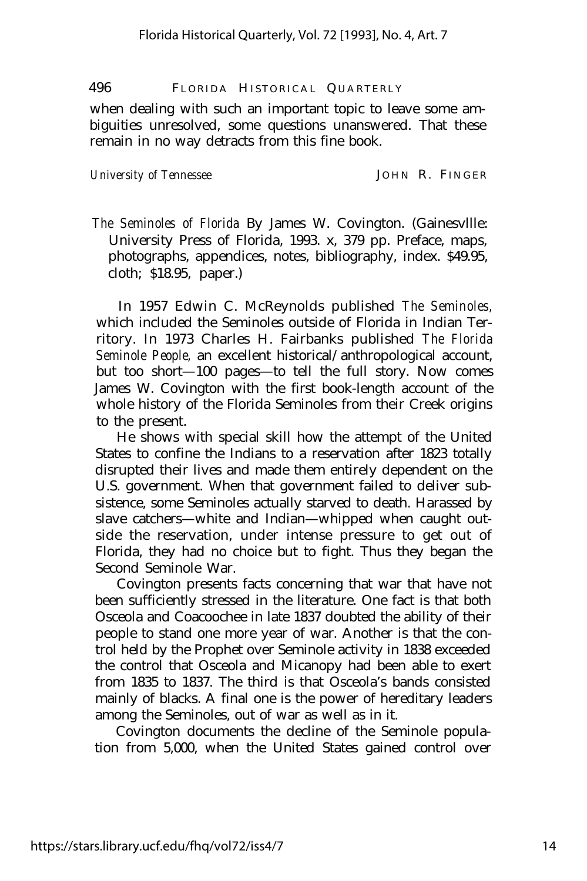when dealing with such an important topic to leave some ambiguities unresolved, some questions unanswered. That these remain in no way detracts from this fine book.

*University of Tennessee* JOHN R. FINGER

*The Seminoles of Florida* By James W. Covington. (Gainesvllle: University Press of Florida, 1993. x, 379 pp. Preface, maps, photographs, appendices, notes, bibliography, index. \$49.95, cloth; \$18.95, paper.)

In 1957 Edwin C. McReynolds published *The Seminoles,* which included the Seminoles outside of Florida in Indian Territory. In 1973 Charles H. Fairbanks published *The Florida Seminole People,* an excellent historical/anthropological account, but too short— 100 pages— to tell the full story. Now comes James W. Covington with the first book-length account of the whole history of the Florida Seminoles from their Creek origins to the present.

He shows with special skill how the attempt of the United States to confine the Indians to a reservation after 1823 totally disrupted their lives and made them entirely dependent on the U.S. government. When that government failed to deliver subsistence, some Seminoles actually starved to death. Harassed by slave catchers— white and Indian— whipped when caught outside the reservation, under intense pressure to get out of Florida, they had no choice but to fight. Thus they began the Second Seminole War.

Covington presents facts concerning that war that have not been sufficiently stressed in the literature. One fact is that both Osceola and Coacoochee in late 1837 doubted the ability of their people to stand one more year of war. Another is that the control held by the Prophet over Seminole activity in 1838 exceeded the control that Osceola and Micanopy had been able to exert from 1835 to 1837. The third is that Osceola's bands consisted mainly of blacks. A final one is the power of hereditary leaders among the Seminoles, out of war as well as in it.

Covington documents the decline of the Seminole population from 5,000, when the United States gained control over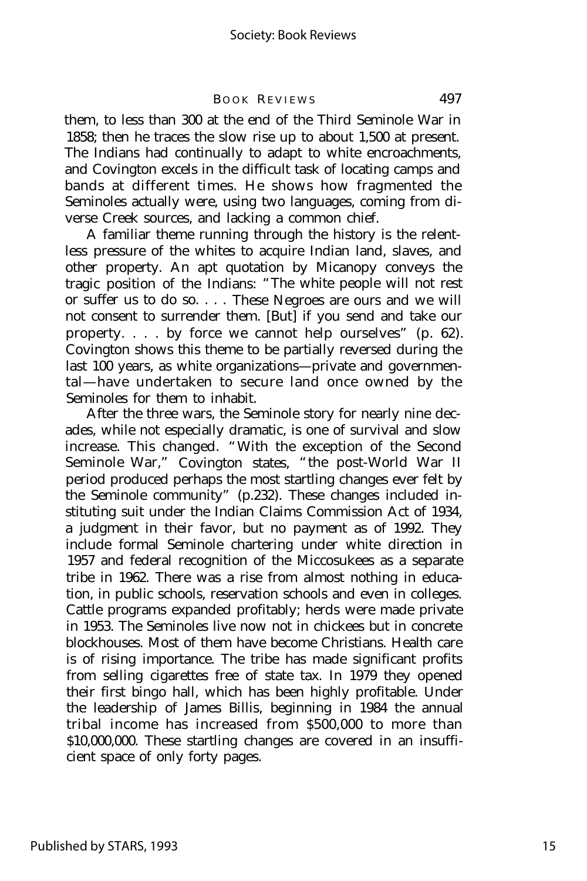them, to less than 300 at the end of the Third Seminole War in 1858; then he traces the slow rise up to about 1,500 at present. The Indians had continually to adapt to white encroachments, and Covington excels in the difficult task of locating camps and bands at different times. He shows how fragmented the Seminoles actually were, using two languages, coming from diverse Creek sources, and lacking a common chief.

A familiar theme running through the history is the relentless pressure of the whites to acquire Indian land, slaves, and other property. An apt quotation by Micanopy conveys the tragic position of the Indians: "The white people will not rest or suffer us to do so. . . . These Negroes are ours and we will not consent to surrender them. [But] if you send and take our property. . . . by force we cannot help ourselves" (p. 62). Covington shows this theme to be partially reversed during the last 100 years, as white organizations— private and governmental— have undertaken to secure land once owned by the Seminoles for them to inhabit.

After the three wars, the Seminole story for nearly nine decades, while not especially dramatic, is one of survival and slow increase. This changed. "With the exception of the Second Seminole War," Covington states, "the post-World War II period produced perhaps the most startling changes ever felt by the Seminole community" (p.232). These changes included instituting suit under the Indian Claims Commission Act of 1934, a judgment in their favor, but no payment as of 1992. They include formal Seminole chartering under white direction in 1957 and federal recognition of the Miccosukees as a separate tribe in 1962. There was a rise from almost nothing in education, in public schools, reservation schools and even in colleges. Cattle programs expanded profitably; herds were made private in 1953. The Seminoles live now not in chickees but in concrete blockhouses. Most of them have become Christians. Health care is of rising importance. The tribe has made significant profits from selling cigarettes free of state tax. In 1979 they opened their first bingo hall, which has been highly profitable. Under the leadership of James Billis, beginning in 1984 the annual tribal income has increased from \$500,000 to more than \$10,000,000. These startling changes are covered in an insufficient space of only forty pages.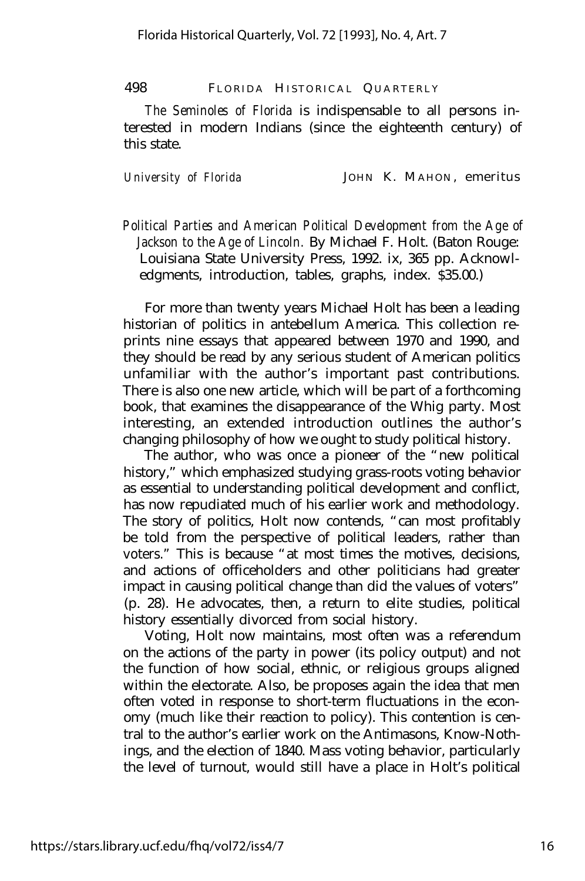*The Seminoles of Florida* is indispensable to all persons interested in modern Indians (since the eighteenth century) of this state.

*University of Florida* JOHN K. MAHON , emeritus

*Political Parties and American Political Development from the Age of Jackson to the Age of Lincoln.* By Michael F. Holt. (Baton Rouge: Louisiana State University Press, 1992. ix, 365 pp. Acknowledgments, introduction, tables, graphs, index. \$35.00.)

For more than twenty years Michael Holt has been a leading historian of politics in antebellum America. This collection reprints nine essays that appeared between 1970 and 1990, and they should be read by any serious student of American politics unfamiliar with the author's important past contributions. There is also one new article, which will be part of a forthcoming book, that examines the disappearance of the Whig party. Most interesting, an extended introduction outlines the author's changing philosophy of how we ought to study political history.

The author, who was once a pioneer of the "new political history," which emphasized studying grass-roots voting behavior as essential to understanding political development and conflict, has now repudiated much of his earlier work and methodology. The story of politics, Holt now contends, "can most profitably be told from the perspective of political leaders, rather than voters." This is because "at most times the motives, decisions, and actions of officeholders and other politicians had greater impact in causing political change than did the values of voters" (p. 28). He advocates, then, a return to elite studies, political history essentially divorced from social history.

Voting, Holt now maintains, most often was a referendum on the actions of the party in power (its policy output) and not the function of how social, ethnic, or religious groups aligned within the electorate. Also, be proposes again the idea that men often voted in response to short-term fluctuations in the economy (much like their reaction to policy). This contention is central to the author's earlier work on the Antimasons, Know-Nothings, and the election of 1840. Mass voting behavior, particularly the level of turnout, would still have a place in Holt's political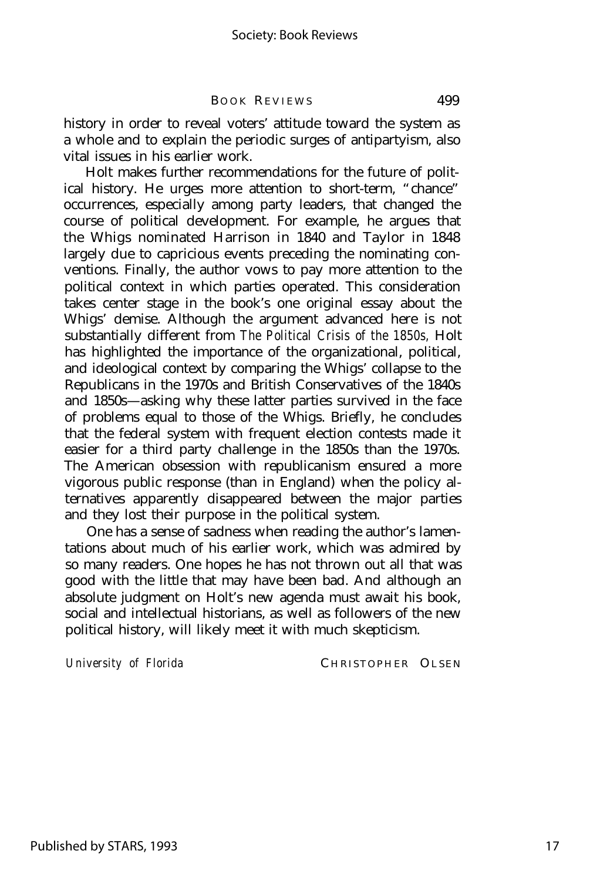history in order to reveal voters' attitude toward the system as a whole and to explain the periodic surges of antipartyism, also vital issues in his earlier work.

Holt makes further recommendations for the future of political history. He urges more attention to short-term, "chance" occurrences, especially among party leaders, that changed the course of political development. For example, he argues that the Whigs nominated Harrison in 1840 and Taylor in 1848 largely due to capricious events preceding the nominating conventions. Finally, the author vows to pay more attention to the political context in which parties operated. This consideration takes center stage in the book's one original essay about the Whigs' demise. Although the argument advanced here is not substantially different from *The Political Crisis of the 1850s,* Holt has highlighted the importance of the organizational, political, and ideological context by comparing the Whigs' collapse to the Republicans in the 1970s and British Conservatives of the 1840s and 1850s— asking why these latter parties survived in the face of problems equal to those of the Whigs. Briefly, he concludes that the federal system with frequent election contests made it easier for a third party challenge in the 1850s than the 1970s. The American obsession with republicanism ensured a more vigorous public response (than in England) when the policy alternatives apparently disappeared between the major parties and they lost their purpose in the political system.

One has a sense of sadness when reading the author's lamentations about much of his earlier work, which was admired by so many readers. One hopes he has not thrown out all that was good with the little that may have been bad. And although an absolute judgment on Holt's new agenda must await his book, social and intellectual historians, as well as followers of the new political history, will likely meet it with much skepticism.

*University of Florida* CHRISTOPHER OLSEN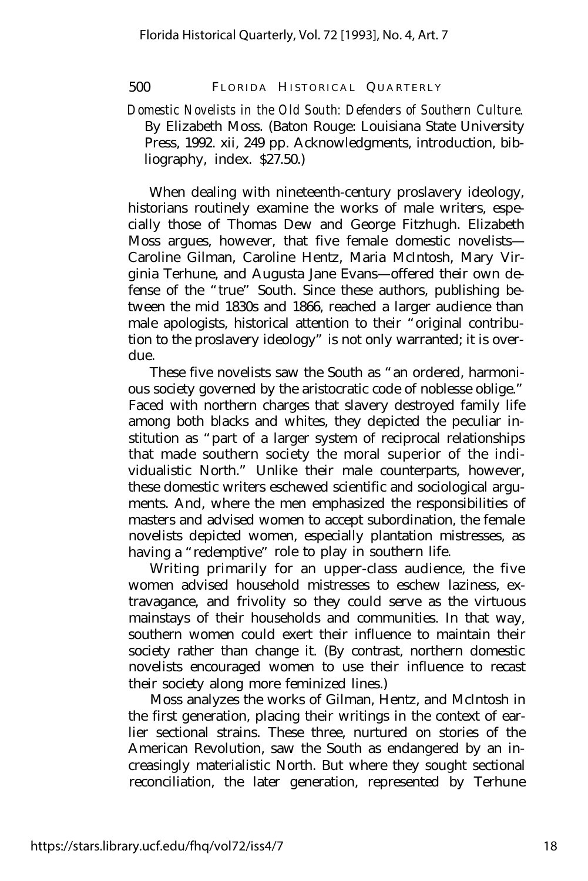*Domestic Novelists in the Old South: Defenders of Southern Culture.* By Elizabeth Moss. (Baton Rouge: Louisiana State University Press, 1992. xii, 249 pp. Acknowledgments, introduction, bibliography, index. \$27.50.)

When dealing with nineteenth-century proslavery ideology, historians routinely examine the works of male writers, especially those of Thomas Dew and George Fitzhugh. Elizabeth Moss argues, however, that five female domestic novelists— Caroline Gilman, Caroline Hentz, Maria McIntosh, Mary Virginia Terhune, and Augusta Jane Evans— offered their own defense of the "true" South. Since these authors, publishing between the mid 1830s and 1866, reached a larger audience than male apologists, historical attention to their "original contribution to the proslavery ideology" is not only warranted; it is overdue.

These five novelists saw the South as "an ordered, harmonious society governed by the aristocratic code of noblesse oblige." Faced with northern charges that slavery destroyed family life among both blacks and whites, they depicted the peculiar institution as "part of a larger system of reciprocal relationships that made southern society the moral superior of the individualistic North." Unlike their male counterparts, however, these domestic writers eschewed scientific and sociological arguments. And, where the men emphasized the responsibilities of masters and advised women to accept subordination, the female novelists depicted women, especially plantation mistresses, as having a "redemptive" role to play in southern life.

Writing primarily for an upper-class audience, the five women advised household mistresses to eschew laziness, extravagance, and frivolity so they could serve as the virtuous mainstays of their households and communities. In that way, southern women could exert their influence to maintain their society rather than change it. (By contrast, northern domestic novelists encouraged women to use their influence to recast their society along more feminized lines.)

Moss analyzes the works of Gilman, Hentz, and McIntosh in the first generation, placing their writings in the context of earlier sectional strains. These three, nurtured on stories of the American Revolution, saw the South as endangered by an increasingly materialistic North. But where they sought sectional reconciliation, the later generation, represented by Terhune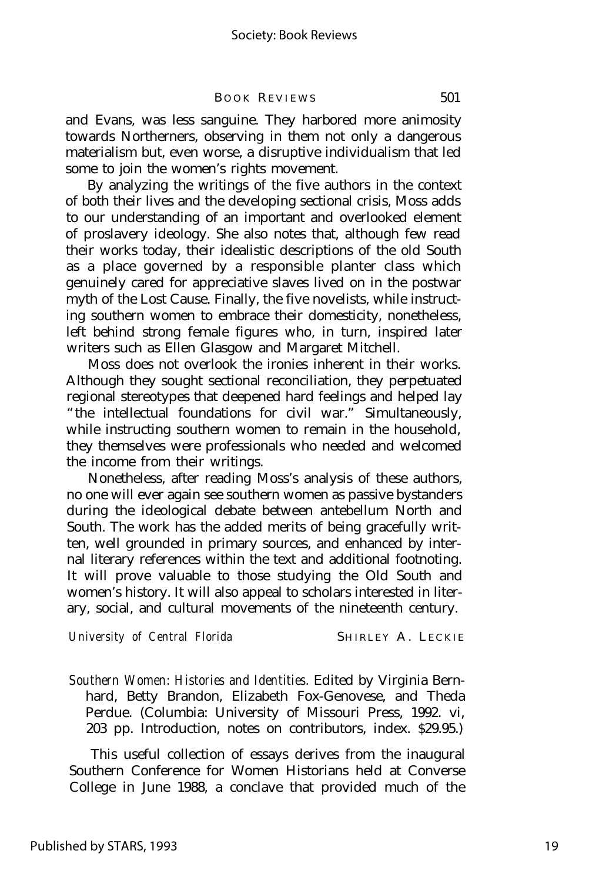and Evans, was less sanguine. They harbored more animosity towards Northerners, observing in them not only a dangerous materialism but, even worse, a disruptive individualism that led some to join the women's rights movement.

By analyzing the writings of the five authors in the context of both their lives and the developing sectional crisis, Moss adds to our understanding of an important and overlooked element of proslavery ideology. She also notes that, although few read their works today, their idealistic descriptions of the old South as a place governed by a responsible planter class which genuinely cared for appreciative slaves lived on in the postwar myth of the Lost Cause. Finally, the five novelists, while instructing southern women to embrace their domesticity, nonetheless, left behind strong female figures who, in turn, inspired later writers such as Ellen Glasgow and Margaret Mitchell.

Moss does not overlook the ironies inherent in their works. Although they sought sectional reconciliation, they perpetuated regional stereotypes that deepened hard feelings and helped lay "the intellectual foundations for civil war." Simultaneously, while instructing southern women to remain in the household, they themselves were professionals who needed and welcomed the income from their writings.

Nonetheless, after reading Moss's analysis of these authors, no one will ever again see southern women as passive bystanders during the ideological debate between antebellum North and South. The work has the added merits of being gracefully written, well grounded in primary sources, and enhanced by internal literary references within the text and additional footnoting. It will prove valuable to those studying the Old South and women's history. It will also appeal to scholars interested in literary, social, and cultural movements of the nineteenth century.

*University of Central Florida* **SHIRLEY A. LECKIE** 

*Southern Women: Histories and Identities.* Edited by Virginia Bernhard, Betty Brandon, Elizabeth Fox-Genovese, and Theda Perdue. (Columbia: University of Missouri Press, 1992. vi, 203 pp. Introduction, notes on contributors, index. \$29.95.)

This useful collection of essays derives from the inaugural Southern Conference for Women Historians held at Converse College in June 1988, a conclave that provided much of the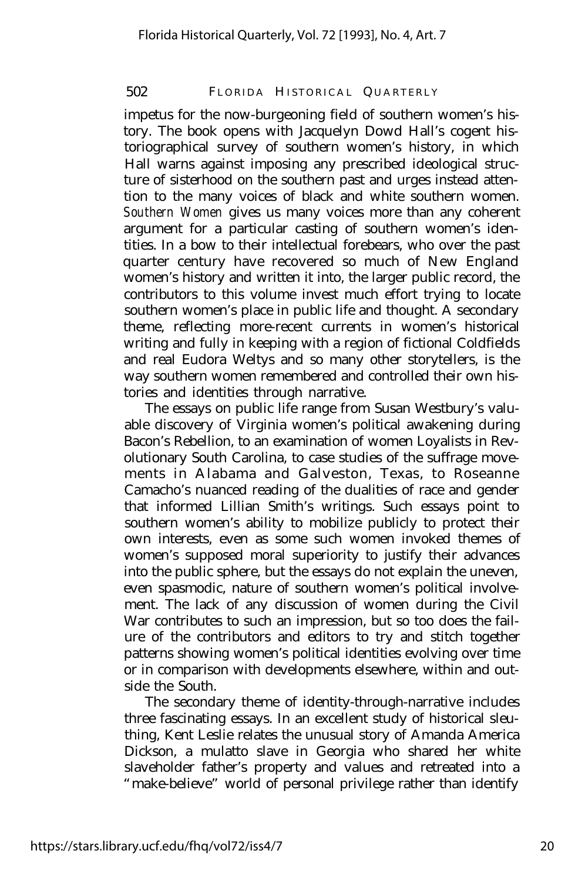impetus for the now-burgeoning field of southern women's history. The book opens with Jacquelyn Dowd Hall's cogent historiographical survey of southern women's history, in which Hall warns against imposing any prescribed ideological structure of sisterhood on the southern past and urges instead attention to the many voices of black and white southern women. *Southern Women* gives us many voices more than any coherent argument for a particular casting of southern women's identities. In a bow to their intellectual forebears, who over the past quarter century have recovered so much of New England women's history and written it into, the larger public record, the contributors to this volume invest much effort trying to locate southern women's place in public life and thought. A secondary theme, reflecting more-recent currents in women's historical writing and fully in keeping with a region of fictional Coldfields and real Eudora Weltys and so many other storytellers, is the way southern women remembered and controlled their own histories and identities through narrative.

The essays on public life range from Susan Westbury's valuable discovery of Virginia women's political awakening during Bacon's Rebellion, to an examination of women Loyalists in Revolutionary South Carolina, to case studies of the suffrage movements in Alabama and Galveston, Texas, to Roseanne Camacho's nuanced reading of the dualities of race and gender that informed Lillian Smith's writings. Such essays point to southern women's ability to mobilize publicly to protect their own interests, even as some such women invoked themes of women's supposed moral superiority to justify their advances into the public sphere, but the essays do not explain the uneven, even spasmodic, nature of southern women's political involvement. The lack of any discussion of women during the Civil War contributes to such an impression, but so too does the failure of the contributors and editors to try and stitch together patterns showing women's political identities evolving over time or in comparison with developments elsewhere, within and outside the South.

The secondary theme of identity-through-narrative includes three fascinating essays. In an excellent study of historical sleuthing, Kent Leslie relates the unusual story of Amanda America Dickson, a mulatto slave in Georgia who shared her white slaveholder father's property and values and retreated into a "make-believe" world of personal privilege rather than identify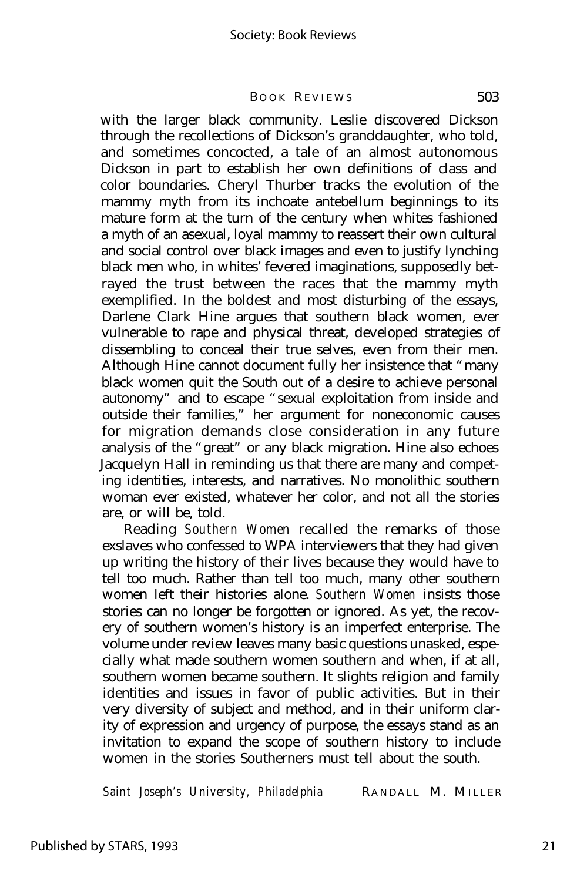with the larger black community. Leslie discovered Dickson through the recollections of Dickson's granddaughter, who told, and sometimes concocted, a tale of an almost autonomous Dickson in part to establish her own definitions of class and color boundaries. Cheryl Thurber tracks the evolution of the mammy myth from its inchoate antebellum beginnings to its mature form at the turn of the century when whites fashioned a myth of an asexual, loyal mammy to reassert their own cultural and social control over black images and even to justify lynching black men who, in whites' fevered imaginations, supposedly betrayed the trust between the races that the mammy myth exemplified. In the boldest and most disturbing of the essays, Darlene Clark Hine argues that southern black women, ever vulnerable to rape and physical threat, developed strategies of dissembling to conceal their true selves, even from their men. Although Hine cannot document fully her insistence that "many black women quit the South out of a desire to achieve personal autonomy" and to escape "sexual exploitation from inside and outside their families," her argument for noneconomic causes for migration demands close consideration in any future analysis of the "great" or any black migration. Hine also echoes Jacquelyn Hall in reminding us that there are many and competing identities, interests, and narratives. No monolithic southern woman ever existed, whatever her color, and not all the stories are, or will be, told.

Reading *Southern Women* recalled the remarks of those exslaves who confessed to WPA interviewers that they had given up writing the history of their lives because they would have to tell too much. Rather than tell too much, many other southern women left their histories alone. *Southern Women* insists those stories can no longer be forgotten or ignored. As yet, the recovery of southern women's history is an imperfect enterprise. The volume under review leaves many basic questions unasked, especially what made southern women southern and when, if at all, southern women became southern. It slights religion and family identities and issues in favor of public activities. But in their very diversity of subject and method, and in their uniform clarity of expression and urgency of purpose, the essays stand as an invitation to expand the scope of southern history to include women in the stories Southerners must tell about the south.

*Saint Joseph's University, Philadelphia* RANDALL M. M ILLER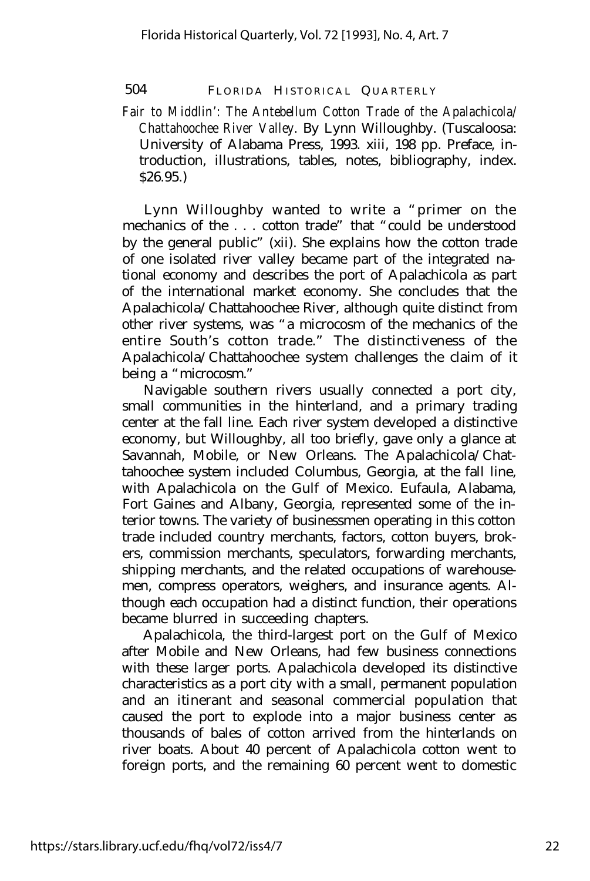*Fair to Middlin': The Antebellum Cotton Trade of the Apalachicola/ Chattahoochee River Valley.* By Lynn Willoughby. (Tuscaloosa: University of Alabama Press, 1993. xiii, 198 pp. Preface, introduction, illustrations, tables, notes, bibliography, index. \$26.95.)

Lynn Willoughby wanted to write a "primer on the mechanics of the . . . cotton trade" that "could be understood by the general public" (xii). She explains how the cotton trade of one isolated river valley became part of the integrated national economy and describes the port of Apalachicola as part of the international market economy. She concludes that the Apalachicola/Chattahoochee River, although quite distinct from other river systems, was "a microcosm of the mechanics of the entire South's cotton trade." The distinctiveness of the Apalachicola/Chattahoochee system challenges the claim of it being a "microcosm."

Navigable southern rivers usually connected a port city, small communities in the hinterland, and a primary trading center at the fall line. Each river system developed a distinctive economy, but Willoughby, all too briefly, gave only a glance at Savannah, Mobile, or New Orleans. The Apalachicola/Chattahoochee system included Columbus, Georgia, at the fall line, with Apalachicola on the Gulf of Mexico. Eufaula, Alabama, Fort Gaines and Albany, Georgia, represented some of the interior towns. The variety of businessmen operating in this cotton trade included country merchants, factors, cotton buyers, brokers, commission merchants, speculators, forwarding merchants, shipping merchants, and the related occupations of warehousemen, compress operators, weighers, and insurance agents. Although each occupation had a distinct function, their operations became blurred in succeeding chapters.

Apalachicola, the third-largest port on the Gulf of Mexico after Mobile and New Orleans, had few business connections with these larger ports. Apalachicola developed its distinctive characteristics as a port city with a small, permanent population and an itinerant and seasonal commercial population that caused the port to explode into a major business center as thousands of bales of cotton arrived from the hinterlands on river boats. About 40 percent of Apalachicola cotton went to foreign ports, and the remaining 60 percent went to domestic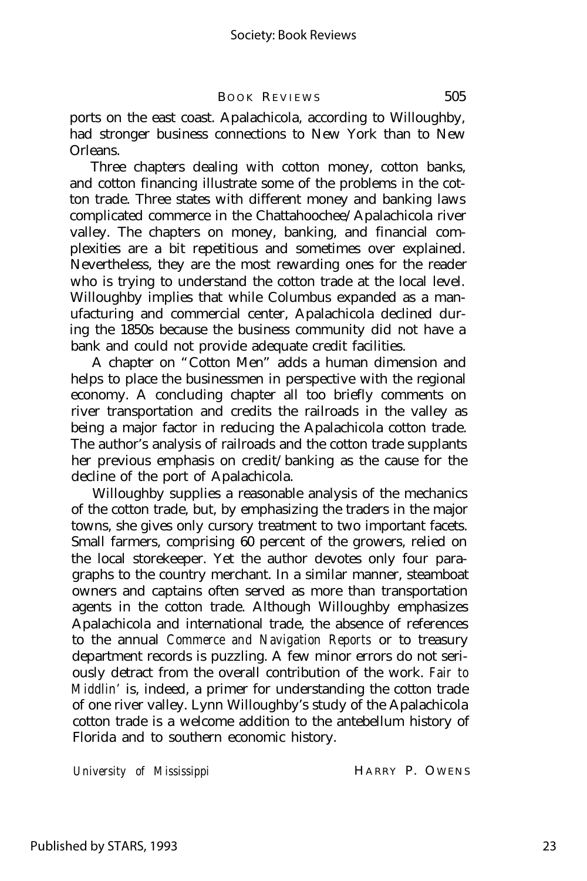ports on the east coast. Apalachicola, according to Willoughby, had stronger business connections to New York than to New Orleans.

Three chapters dealing with cotton money, cotton banks, and cotton financing illustrate some of the problems in the cotton trade. Three states with different money and banking laws complicated commerce in the Chattahoochee/Apalachicola river valley. The chapters on money, banking, and financial complexities are a bit repetitious and sometimes over explained. Nevertheless, they are the most rewarding ones for the reader who is trying to understand the cotton trade at the local level. Willoughby implies that while Columbus expanded as a manufacturing and commercial center, Apalachicola declined during the 1850s because the business community did not have a bank and could not provide adequate credit facilities.

A chapter on "Cotton Men" adds a human dimension and helps to place the businessmen in perspective with the regional economy. A concluding chapter all too briefly comments on river transportation and credits the railroads in the valley as being a major factor in reducing the Apalachicola cotton trade. The author's analysis of railroads and the cotton trade supplants her previous emphasis on credit/banking as the cause for the decline of the port of Apalachicola.

Willoughby supplies a reasonable analysis of the mechanics of the cotton trade, but, by emphasizing the traders in the major towns, she gives only cursory treatment to two important facets. Small farmers, comprising 60 percent of the growers, relied on the local storekeeper. Yet the author devotes only four paragraphs to the country merchant. In a similar manner, steamboat owners and captains often served as more than transportation agents in the cotton trade. Although Willoughby emphasizes Apalachicola and international trade, the absence of references to the annual *Commerce and Navigation Reports* or to treasury department records is puzzling. A few minor errors do not seriously detract from the overall contribution of the work. *Fair to Middlin'* is, indeed, a primer for understanding the cotton trade of one river valley. Lynn Willoughby's study of the Apalachicola cotton trade is a welcome addition to the antebellum history of Florida and to southern economic history.

*University of Mississippi* HARRY P. O WEN S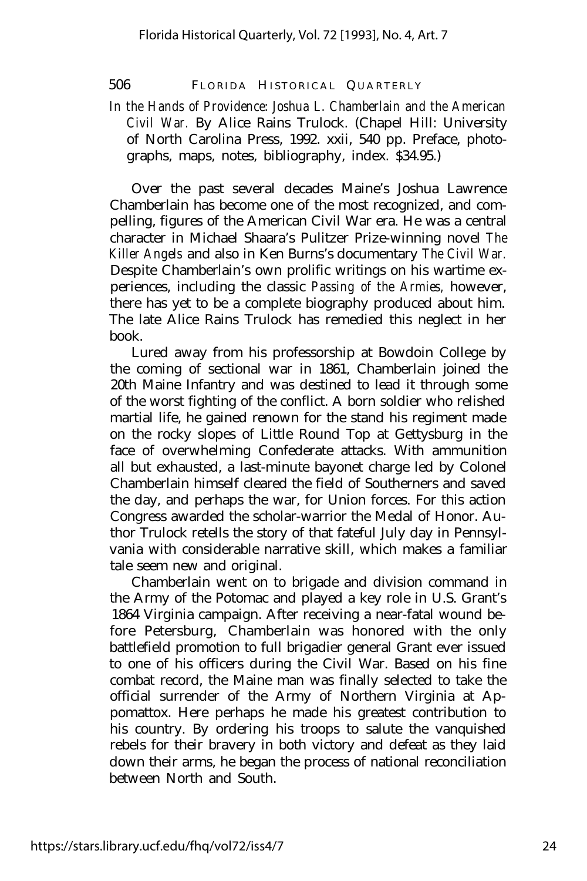*In the Hands of Providence: Joshua L. Chamberlain and the American Civil War.* By Alice Rains Trulock. (Chapel Hill: University of North Carolina Press, 1992. xxii, 540 pp. Preface, photographs, maps, notes, bibliography, index. \$34.95.)

Over the past several decades Maine's Joshua Lawrence Chamberlain has become one of the most recognized, and compelling, figures of the American Civil War era. He was a central character in Michael Shaara's Pulitzer Prize-winning novel *The Killer Angels* and also in Ken Burns's documentary *The Civil War.* Despite Chamberlain's own prolific writings on his wartime experiences, including the classic *Passing of the Armies,* however, there has yet to be a complete biography produced about him. The late Alice Rains Trulock has remedied this neglect in her book.

Lured away from his professorship at Bowdoin College by the coming of sectional war in 1861, Chamberlain joined the 20th Maine Infantry and was destined to lead it through some of the worst fighting of the conflict. A born soldier who relished martial life, he gained renown for the stand his regiment made on the rocky slopes of Little Round Top at Gettysburg in the face of overwhelming Confederate attacks. With ammunition all but exhausted, a last-minute bayonet charge led by Colonel Chamberlain himself cleared the field of Southerners and saved the day, and perhaps the war, for Union forces. For this action Congress awarded the scholar-warrior the Medal of Honor. Author Trulock retells the story of that fateful July day in Pennsylvania with considerable narrative skill, which makes a familiar tale seem new and original.

Chamberlain went on to brigade and division command in the Army of the Potomac and played a key role in U.S. Grant's 1864 Virginia campaign. After receiving a near-fatal wound before Petersburg, Chamberlain was honored with the only battlefield promotion to full brigadier general Grant ever issued to one of his officers during the Civil War. Based on his fine combat record, the Maine man was finally selected to take the official surrender of the Army of Northern Virginia at Appomattox. Here perhaps he made his greatest contribution to his country. By ordering his troops to salute the vanquished rebels for their bravery in both victory and defeat as they laid down their arms, he began the process of national reconciliation between North and South.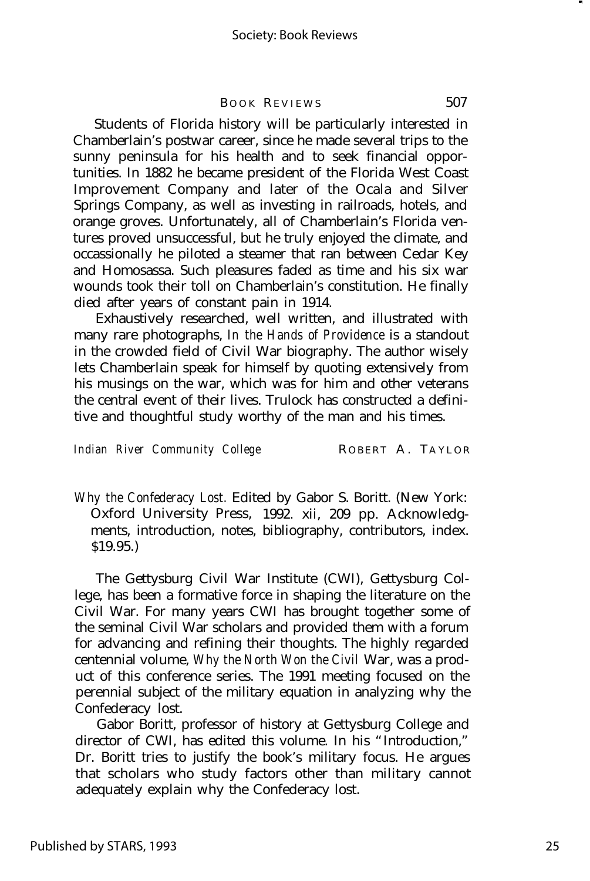Students of Florida history will be particularly interested in Chamberlain's postwar career, since he made several trips to the sunny peninsula for his health and to seek financial opportunities. In 1882 he became president of the Florida West Coast Improvement Company and later of the Ocala and Silver Springs Company, as well as investing in railroads, hotels, and orange groves. Unfortunately, all of Chamberlain's Florida ventures proved unsuccessful, but he truly enjoyed the climate, and occassionally he piloted a steamer that ran between Cedar Key and Homosassa. Such pleasures faded as time and his six war wounds took their toll on Chamberlain's constitution. He finally died after years of constant pain in 1914.

Exhaustively researched, well written, and illustrated with many rare photographs, *In the Hands of Providence* is a standout in the crowded field of Civil War biography. The author wisely lets Chamberlain speak for himself by quoting extensively from his musings on the war, which was for him and other veterans the central event of their lives. Trulock has constructed a definitive and thoughtful study worthy of the man and his times.

*Indian River Community College* ROBERT A. TAYLOR

*Why the Confederacy Lost.* Edited by Gabor S. Boritt. (New York: Oxford University Press, 1992. xii, 209 pp. Acknowledgments, introduction, notes, bibliography, contributors, index. \$19.95.)

The Gettysburg Civil War Institute (CWI), Gettysburg College, has been a formative force in shaping the literature on the Civil War. For many years CWI has brought together some of the seminal Civil War scholars and provided them with a forum for advancing and refining their thoughts. The highly regarded centennial volume, *Why the North Won the Civil* War, was a product of this conference series. The 1991 meeting focused on the perennial subject of the military equation in analyzing why the Confederacy lost.

Gabor Boritt, professor of history at Gettysburg College and director of CWI, has edited this volume. In his "Introduction," Dr. Boritt tries to justify the book's military focus. He argues that scholars who study factors other than military cannot adequately explain why the Confederacy lost.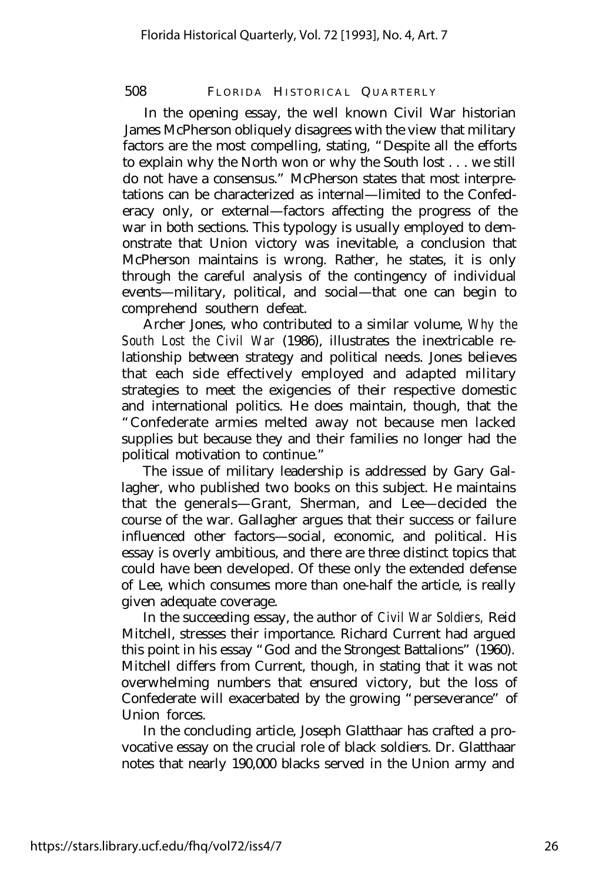In the opening essay, the well known Civil War historian James McPherson obliquely disagrees with the view that military factors are the most compelling, stating, "Despite all the efforts to explain why the North won or why the South lost . . . we still do not have a consensus." McPherson states that most interpretations can be characterized as internal— limited to the Confederacy only, or external— factors affecting the progress of the war in both sections. This typology is usually employed to demonstrate that Union victory was inevitable, a conclusion that McPherson maintains is wrong. Rather, he states, it is only through the careful analysis of the contingency of individual events— military, political, and social— that one can begin to comprehend southern defeat.

Archer Jones, who contributed to a similar volume, *Why the South Lost the Civil War* (1986), illustrates the inextricable relationship between strategy and political needs. Jones believes that each side effectively employed and adapted military strategies to meet the exigencies of their respective domestic and international politics. He does maintain, though, that the "Confederate armies melted away not because men lacked supplies but because they and their families no longer had the political motivation to continue."

The issue of military leadership is addressed by Gary Gallagher, who published two books on this subject. He maintains that the generals— Grant, Sherman, and Lee— decided the course of the war. Gallagher argues that their success or failure influenced other factors— social, economic, and political. His essay is overly ambitious, and there are three distinct topics that could have been developed. Of these only the extended defense of Lee, which consumes more than one-half the article, is really given adequate coverage.

In the succeeding essay, the author of *Civil War Soldiers,* Reid Mitchell, stresses their importance. Richard Current had argued this point in his essay "God and the Strongest Battalions" (1960). Mitchell differs from Current, though, in stating that it was not overwhelming numbers that ensured victory, but the loss of Confederate will exacerbated by the growing "perseverance" of Union forces.

In the concluding article, Joseph Glatthaar has crafted a provocative essay on the crucial role of black soldiers. Dr. Glatthaar notes that nearly 190,000 blacks served in the Union army and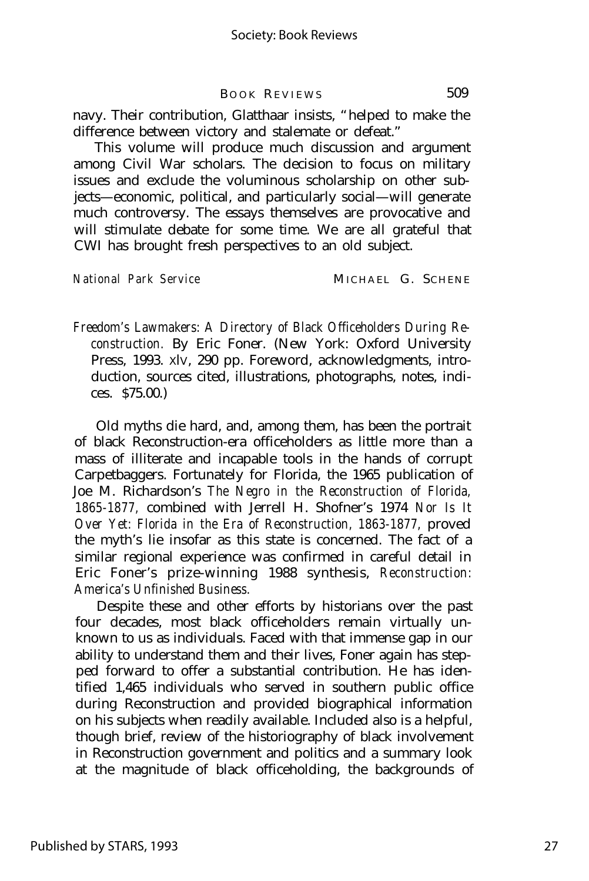navy. Their contribution, Glatthaar insists, "helped to make the difference between victory and stalemate or defeat."

This volume will produce much discussion and argument among Civil War scholars. The decision to focus on military issues and exclude the voluminous scholarship on other subjects— economic, political, and particularly social— will generate much controversy. The essays themselves are provocative and will stimulate debate for some time. We are all grateful that CWI has brought fresh perspectives to an old subject.

*National Park Service* MICHAEL G. SCHENE

*Freedom's Lawmakers: A Directory of Black Officeholders During Reconstruction.* By Eric Foner. (New York: Oxford University Press, 1993. XlV, 290 pp. Foreword, acknowledgments, introduction, sources cited, illustrations, photographs, notes, indices. \$75.00.)

Old myths die hard, and, among them, has been the portrait of black Reconstruction-era officeholders as little more than a mass of illiterate and incapable tools in the hands of corrupt Carpetbaggers. Fortunately for Florida, the 1965 publication of Joe M. Richardson's *The Negro in the Reconstruction of Florida, 1865-1877,* combined with Jerrell H. Shofner's 1974 *Nor Is It Over Yet: Florida in the Era of Reconstruction, 1863-1877,* proved the myth's lie insofar as this state is concerned. The fact of a similar regional experience was confirmed in careful detail in Eric Foner's prize-winning 1988 synthesis, *Reconstruction: America's Unfinished Business.*

Despite these and other efforts by historians over the past four decades, most black officeholders remain virtually unknown to us as individuals. Faced with that immense gap in our ability to understand them and their lives, Foner again has stepped forward to offer a substantial contribution. He has identified 1,465 individuals who served in southern public office during Reconstruction and provided biographical information on his subjects when readily available. Included also is a helpful, though brief, review of the historiography of black involvement in Reconstruction government and politics and a summary look at the magnitude of black officeholding, the backgrounds of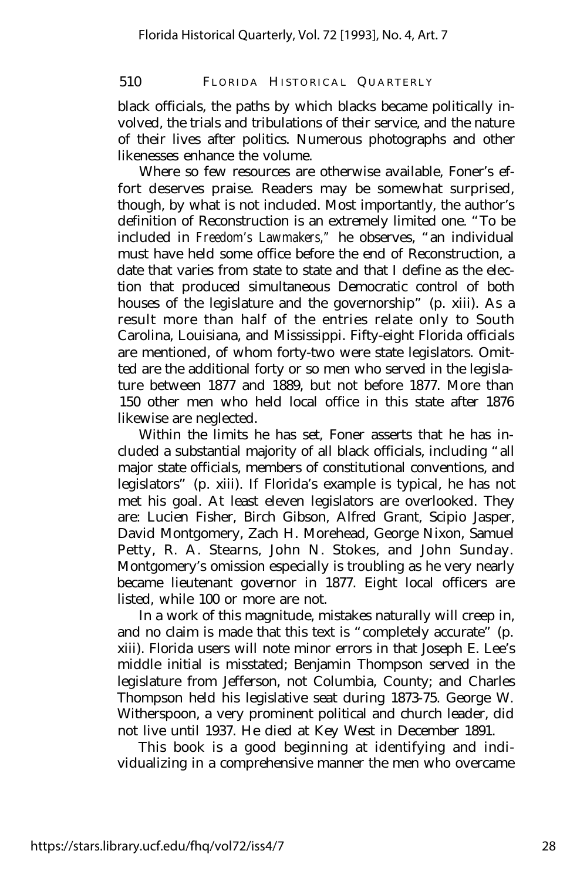black officials, the paths by which blacks became politically involved, the trials and tribulations of their service, and the nature of their lives after politics. Numerous photographs and other likenesses enhance the volume.

Where so few resources are otherwise available, Foner's effort deserves praise. Readers may be somewhat surprised, though, by what is not included. Most importantly, the author's definition of Reconstruction is an extremely limited one. "To be included in *Freedom's Lawmakers,"* he observes, "an individual must have held some office before the end of Reconstruction, a date that varies from state to state and that I define as the election that produced simultaneous Democratic control of both houses of the legislature and the governorship" (p. xiii). As a result more than half of the entries relate only to South Carolina, Louisiana, and Mississippi. Fifty-eight Florida officials are mentioned, of whom forty-two were state legislators. Omitted are the additional forty or so men who served in the legislature between 1877 and 1889, but not before 1877. More than 150 other men who held local office in this state after 1876 likewise are neglected.

Within the limits he has set, Foner asserts that he has included a substantial majority of all black officials, including "all major state officials, members of constitutional conventions, and legislators" (p. xiii). If Florida's example is typical, he has not met his goal. At least eleven legislators are overlooked. They are: Lucien Fisher, Birch Gibson, Alfred Grant, Scipio Jasper, David Montgomery, Zach H. Morehead, George Nixon, Samuel Petty, R. A. Stearns, John N. Stokes, and John Sunday. Montgomery's omission especially is troubling as he very nearly became lieutenant governor in 1877. Eight local officers are listed, while 100 or more are not.

In a work of this magnitude, mistakes naturally will creep in, and no claim is made that this text is "completely accurate" (p. xiii). Florida users will note minor errors in that Joseph E. Lee's middle initial is misstated; Benjamin Thompson served in the legislature from Jefferson, not Columbia, County; and Charles Thompson held his legislative seat during 1873-75. George W. Witherspoon, a very prominent political and church leader, did not live until 1937. He died at Key West in December 1891.

This book is a good beginning at identifying and individualizing in a comprehensive manner the men who overcame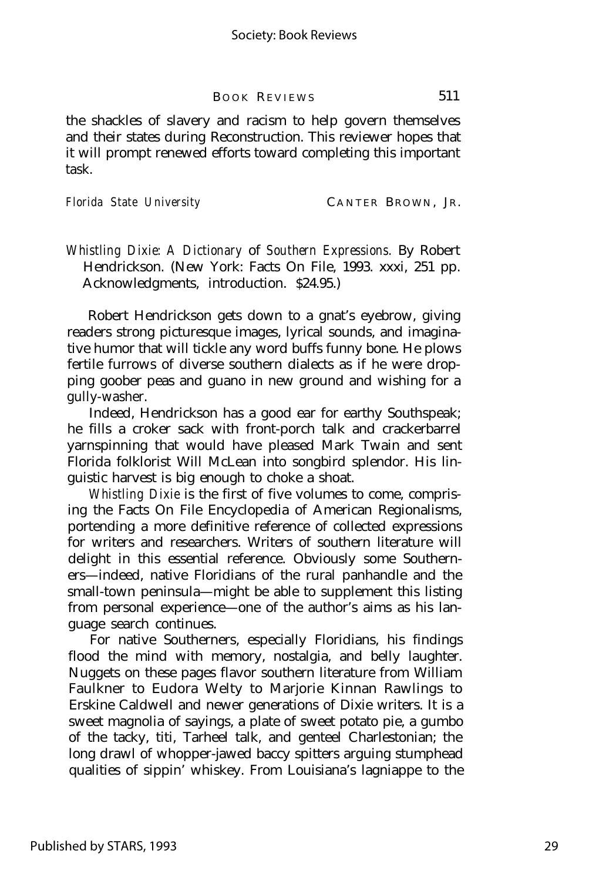the shackles of slavery and racism to help govern themselves and their states during Reconstruction. This reviewer hopes that it will prompt renewed efforts toward completing this important task.

Florida State University CANTER BROWN, JR.

*Whistling Dixie: A Dictionary* of *Southern Expressions.* By Robert Hendrickson. (New York: Facts On File, 1993. xxxi, 251 pp. Acknowledgments, introduction. \$24.95.)

Robert Hendrickson gets down to a gnat's eyebrow, giving readers strong picturesque images, lyrical sounds, and imaginative humor that will tickle any word buffs funny bone. He plows fertile furrows of diverse southern dialects as if he were dropping goober peas and guano in new ground and wishing for a gully-washer.

Indeed, Hendrickson has a good ear for earthy Southspeak; he fills a croker sack with front-porch talk and crackerbarrel yarnspinning that would have pleased Mark Twain and sent Florida folklorist Will McLean into songbird splendor. His linguistic harvest is big enough to choke a shoat.

*Whistling Dixie* is the first of five volumes to come, comprising the Facts On File Encyclopedia of American Regionalisms, portending a more definitive reference of collected expressions for writers and researchers. Writers of southern literature will delight in this essential reference. Obviously some Southerners— indeed, native Floridians of the rural panhandle and the small-town peninsula— might be able to supplement this listing from personal experience— one of the author's aims as his language search continues.

For native Southerners, especially Floridians, his findings flood the mind with memory, nostalgia, and belly laughter. Nuggets on these pages flavor southern literature from William Faulkner to Eudora Welty to Marjorie Kinnan Rawlings to Erskine Caldwell and newer generations of Dixie writers. It is a sweet magnolia of sayings, a plate of sweet potato pie, a gumbo of the tacky, titi, Tarheel talk, and genteel Charlestonian; the long drawl of whopper-jawed baccy spitters arguing stumphead qualities of sippin' whiskey. From Louisiana's lagniappe to the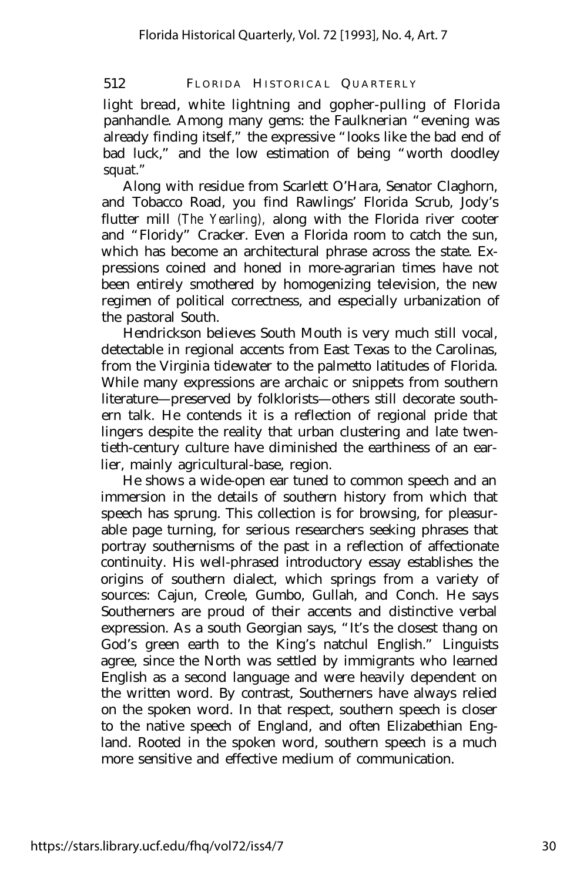light bread, white lightning and gopher-pulling of Florida panhandle. Among many gems: the Faulknerian "evening was already finding itself," the expressive "looks like the bad end of bad luck," and the low estimation of being "worth doodley squat."

Along with residue from Scarlett O'Hara, Senator Claghorn, and Tobacco Road, you find Rawlings' Florida Scrub, Jody's flutter mill *(The Yearling),* along with the Florida river cooter and "Floridy" Cracker. Even a Florida room to catch the sun, which has become an architectural phrase across the state. Expressions coined and honed in more-agrarian times have not been entirely smothered by homogenizing television, the new regimen of political correctness, and especially urbanization of the pastoral South.

Hendrickson believes South Mouth is very much still vocal, detectable in regional accents from East Texas to the Carolinas, from the Virginia tidewater to the palmetto latitudes of Florida. While many expressions are archaic or snippets from southern literature— preserved by folklorists— others still decorate southern talk. He contends it is a reflection of regional pride that lingers despite the reality that urban clustering and late twentieth-century culture have diminished the earthiness of an earlier, mainly agricultural-base, region.

He shows a wide-open ear tuned to common speech and an immersion in the details of southern history from which that speech has sprung. This collection is for browsing, for pleasurable page turning, for serious researchers seeking phrases that portray southernisms of the past in a reflection of affectionate continuity. His well-phrased introductory essay establishes the origins of southern dialect, which springs from a variety of sources: Cajun, Creole, Gumbo, Gullah, and Conch. He says Southerners are proud of their accents and distinctive verbal expression. As a south Georgian says, "It's the closest thang on God's green earth to the King's natchul English." Linguists agree, since the North was settled by immigrants who learned English as a second language and were heavily dependent on the written word. By contrast, Southerners have always relied on the spoken word. In that respect, southern speech is closer to the native speech of England, and often Elizabethian England. Rooted in the spoken word, southern speech is a much more sensitive and effective medium of communication.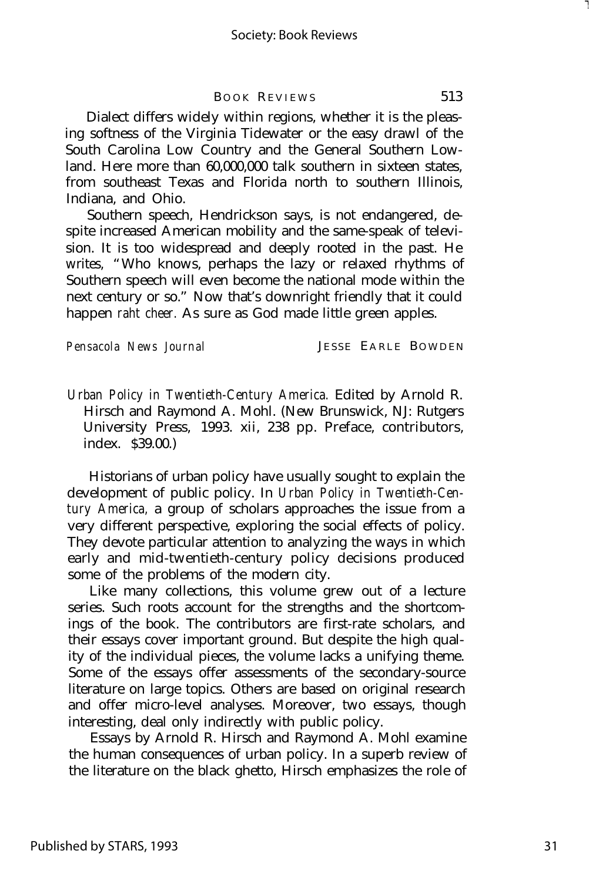Dialect differs widely within regions, whether it is the pleasing softness of the Virginia Tidewater or the easy drawl of the South Carolina Low Country and the General Southern Lowland. Here more than 60,000,000 talk southern in sixteen states, from southeast Texas and Florida north to southern Illinois, Indiana, and Ohio.

Southern speech, Hendrickson says, is not endangered, despite increased American mobility and the same-speak of television. It is too widespread and deeply rooted in the past. He writes, "Who knows, perhaps the lazy or relaxed rhythms of Southern speech will even become the national mode within the next century or so." Now that's downright friendly that it could happen *raht cheer.* As sure as God made little green apples.

*Pensacola News Journal* **JESSE EARLE BOWDEN** 

*Urban Policy in Twentieth-Century America.* Edited by Arnold R. Hirsch and Raymond A. Mohl. (New Brunswick, NJ: Rutgers University Press, 1993. xii, 238 pp. Preface, contributors, index. \$39.00.)

Historians of urban policy have usually sought to explain the development of public policy. In *Urban Policy in Twentieth-Century America,* a group of scholars approaches the issue from a very different perspective, exploring the social effects of policy. They devote particular attention to analyzing the ways in which early and mid-twentieth-century policy decisions produced some of the problems of the modern city.

Like many collections, this volume grew out of a lecture series. Such roots account for the strengths and the shortcomings of the book. The contributors are first-rate scholars, and their essays cover important ground. But despite the high quality of the individual pieces, the volume lacks a unifying theme. Some of the essays offer assessments of the secondary-source literature on large topics. Others are based on original research and offer micro-level analyses. Moreover, two essays, though interesting, deal only indirectly with public policy.

Essays by Arnold R. Hirsch and Raymond A. Mohl examine the human consequences of urban policy. In a superb review of the literature on the black ghetto, Hirsch emphasizes the role of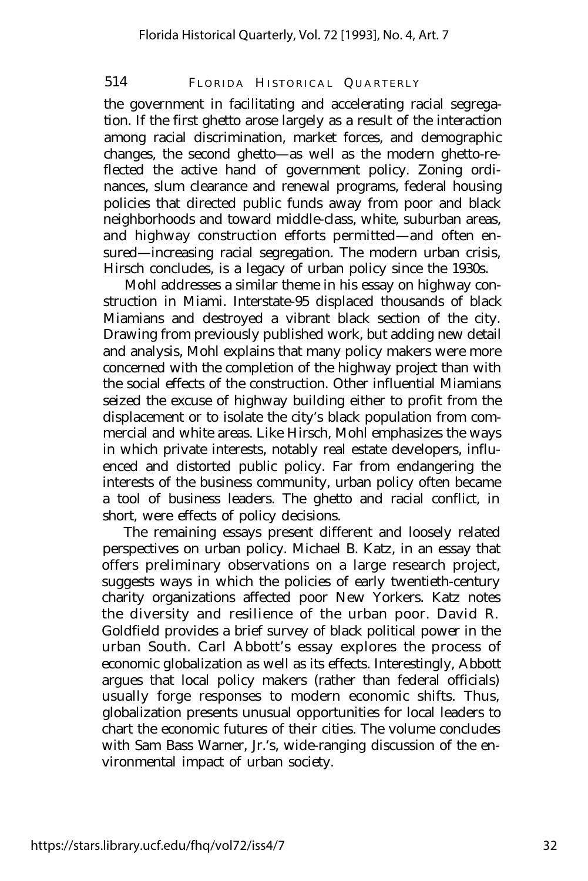the government in facilitating and accelerating racial segregation. If the first ghetto arose largely as a result of the interaction among racial discrimination, market forces, and demographic changes, the second ghetto— as well as the modern ghetto-reflected the active hand of government policy. Zoning ordinances, slum clearance and renewal programs, federal housing policies that directed public funds away from poor and black neighborhoods and toward middle-class, white, suburban areas, and highway construction efforts permitted— and often ensured— increasing racial segregation. The modern urban crisis, Hirsch concludes, is a legacy of urban policy since the 1930s.

Mohl addresses a similar theme in his essay on highway construction in Miami. Interstate-95 displaced thousands of black Miamians and destroyed a vibrant black section of the city. Drawing from previously published work, but adding new detail and analysis, Mohl explains that many policy makers were more concerned with the completion of the highway project than with the social effects of the construction. Other influential Miamians seized the excuse of highway building either to profit from the displacement or to isolate the city's black population from commercial and white areas. Like Hirsch, Mohl emphasizes the ways in which private interests, notably real estate developers, influenced and distorted public policy. Far from endangering the interests of the business community, urban policy often became a tool of business leaders. The ghetto and racial conflict, in short, were effects of policy decisions.

The remaining essays present different and loosely related perspectives on urban policy. Michael B. Katz, in an essay that offers preliminary observations on a large research project, suggests ways in which the policies of early twentieth-century charity organizations affected poor New Yorkers. Katz notes the diversity and resilience of the urban poor. David R. Goldfield provides a brief survey of black political power in the urban South. Carl Abbott's essay explores the process of economic globalization as well as its effects. Interestingly, Abbott argues that local policy makers (rather than federal officials) usually forge responses to modern economic shifts. Thus, globalization presents unusual opportunities for local leaders to chart the economic futures of their cities. The volume concludes with Sam Bass Warner, Jr.'s, wide-ranging discussion of the environmental impact of urban society.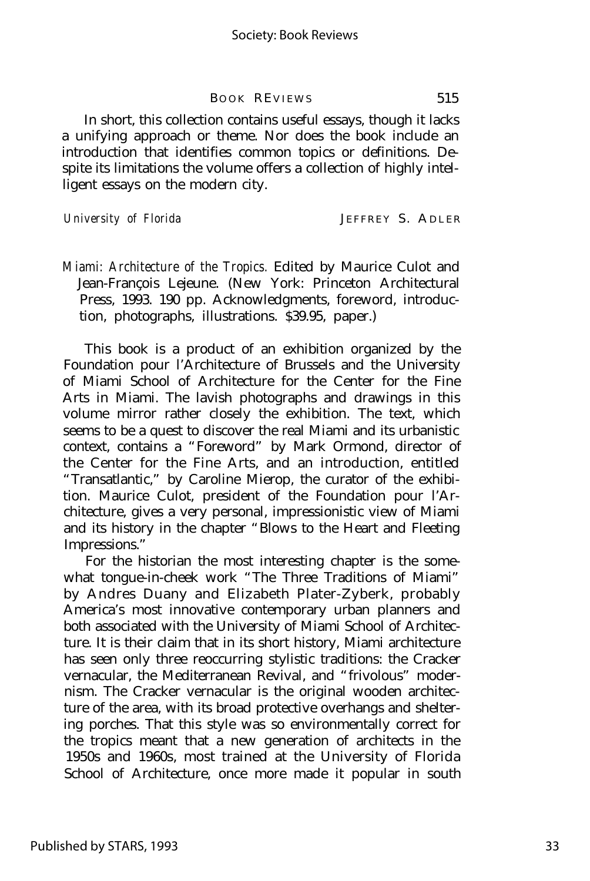In short, this collection contains useful essays, though it lacks a unifying approach or theme. Nor does the book include an introduction that identifies common topics or definitions. Despite its limitations the volume offers a collection of highly intelligent essays on the modern city.

*University of Florida* JEFFREY S. ADLER

*Miami: Architecture of the Tropics.* Edited by Maurice Culot and Jean-François Lejeune. (New York: Princeton Architectural Press, 1993. 190 pp. Acknowledgments, foreword, introduction, photographs, illustrations. \$39.95, paper.)

This book is a product of an exhibition organized by the Foundation pour l'Architecture of Brussels and the University of Miami School of Architecture for the Center for the Fine Arts in Miami. The lavish photographs and drawings in this volume mirror rather closely the exhibition. The text, which seems to be a quest to discover the real Miami and its urbanistic context, contains a "Foreword" by Mark Ormond, director of the Center for the Fine Arts, and an introduction, entitled "Transatlantic," by Caroline Mierop, the curator of the exhibition. Maurice Culot, president of the Foundation pour l'Architecture, gives a very personal, impressionistic view of Miami and its history in the chapter "Blows to the Heart and Fleeting Impressions."

For the historian the most interesting chapter is the somewhat tongue-in-cheek work "The Three Traditions of Miami" by Andres Duany and Elizabeth Plater-Zyberk, probably America's most innovative contemporary urban planners and both associated with the University of Miami School of Architecture. It is their claim that in its short history, Miami architecture has seen only three reoccurring stylistic traditions: the Cracker vernacular, the Mediterranean Revival, and "frivolous" modernism. The Cracker vernacular is the original wooden architecture of the area, with its broad protective overhangs and sheltering porches. That this style was so environmentally correct for the tropics meant that a new generation of architects in the 1950s and 1960s, most trained at the University of Florida School of Architecture, once more made it popular in south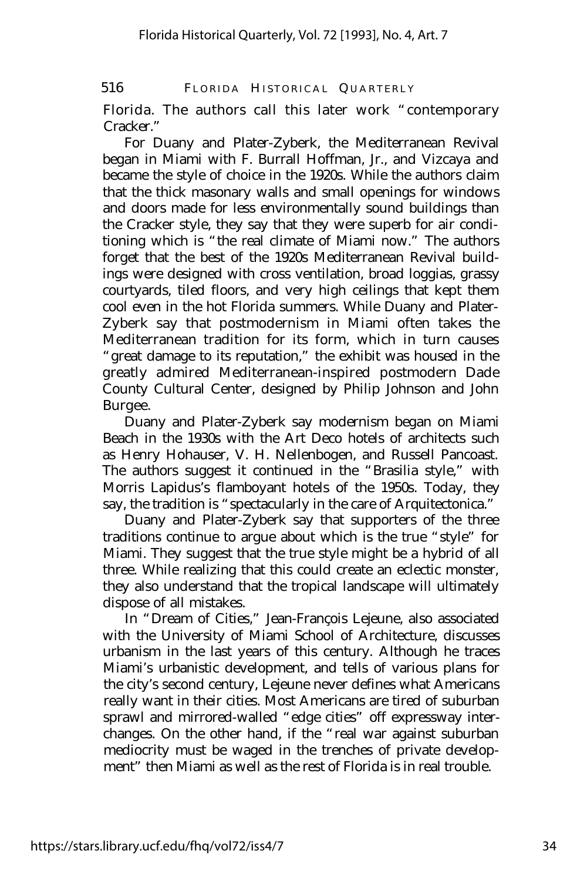Florida. The authors call this later work "contemporary Cracker."

For Duany and Plater-Zyberk, the Mediterranean Revival began in Miami with F. Burrall Hoffman, Jr., and Vizcaya and became the style of choice in the 1920s. While the authors claim that the thick masonary walls and small openings for windows and doors made for less environmentally sound buildings than the Cracker style, they say that they were superb for air conditioning which is "the real climate of Miami now." The authors forget that the best of the 1920s Mediterranean Revival buildings were designed with cross ventilation, broad loggias, grassy courtyards, tiled floors, and very high ceilings that kept them cool even in the hot Florida summers. While Duany and Plater-Zyberk say that postmodernism in Miami often takes the Mediterranean tradition for its form, which in turn causes "great damage to its reputation," the exhibit was housed in the greatly admired Mediterranean-inspired postmodern Dade County Cultural Center, designed by Philip Johnson and John Burgee.

Duany and Plater-Zyberk say modernism began on Miami Beach in the 1930s with the Art Deco hotels of architects such as Henry Hohauser, V. H. Nellenbogen, and Russell Pancoast. The authors suggest it continued in the "Brasilia style," with Morris Lapidus's flamboyant hotels of the 1950s. Today, they say, the tradition is "spectacularly in the care of Arquitectonica."

Duany and Plater-Zyberk say that supporters of the three traditions continue to argue about which is the true "style" for Miami. They suggest that the true style might be a hybrid of all three. While realizing that this could create an eclectic monster, they also understand that the tropical landscape will ultimately dispose of all mistakes.

In "Dream of Cities," Jean-François Lejeune, also associated with the University of Miami School of Architecture, discusses urbanism in the last years of this century. Although he traces Miami's urbanistic development, and tells of various plans for the city's second century, Lejeune never defines what Americans really want in their cities. Most Americans are tired of suburban sprawl and mirrored-walled "edge cities" off expressway interchanges. On the other hand, if the "real war against suburban mediocrity must be waged in the trenches of private development" then Miami as well as the rest of Florida is in real trouble.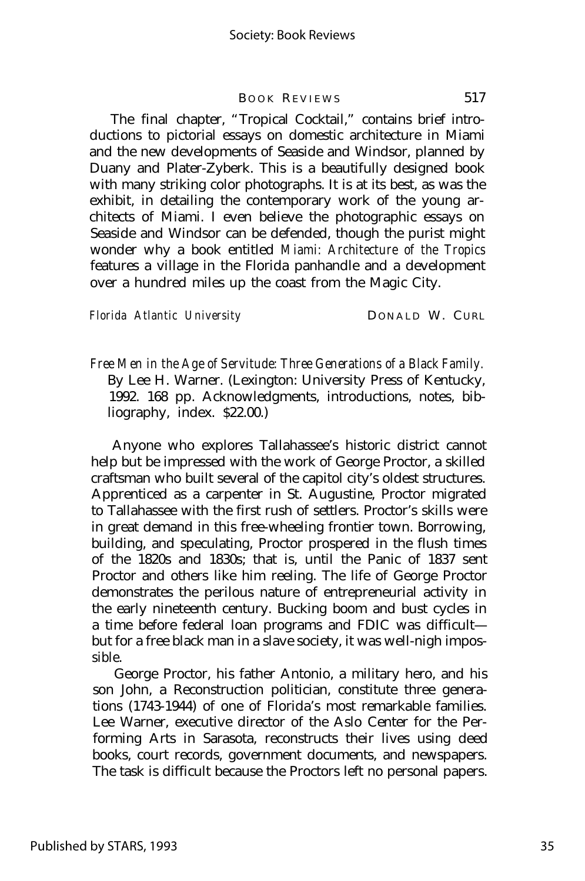The final chapter, "Tropical Cocktail," contains brief introductions to pictorial essays on domestic architecture in Miami and the new developments of Seaside and Windsor, planned by Duany and Plater-Zyberk. This is a beautifully designed book with many striking color photographs. It is at its best, as was the exhibit, in detailing the contemporary work of the young architects of Miami. I even believe the photographic essays on Seaside and Windsor can be defended, though the purist might wonder why a book entitled *Miami: Architecture of the Tropics* features a village in the Florida panhandle and a development over a hundred miles up the coast from the Magic City.

*Florida Atlantic University* DONALD W. CURL

*Free Men in the Age of Servitude: Three Generations of a Black Family.* By Lee H. Warner. (Lexington: University Press of Kentucky, 1992. 168 pp. Acknowledgments, introductions, notes, bibliography, index. \$22.00.)

Anyone who explores Tallahassee's historic district cannot help but be impressed with the work of George Proctor, a skilled craftsman who built several of the capitol city's oldest structures. Apprenticed as a carpenter in St. Augustine, Proctor migrated to Tallahassee with the first rush of settlers. Proctor's skills were in great demand in this free-wheeling frontier town. Borrowing, building, and speculating, Proctor prospered in the flush times of the 1820s and 1830s; that is, until the Panic of 1837 sent Proctor and others like him reeling. The life of George Proctor demonstrates the perilous nature of entrepreneurial activity in the early nineteenth century. Bucking boom and bust cycles in a time before federal loan programs and FDIC was difficult but for a free black man in a slave society, it was well-nigh impossible.

George Proctor, his father Antonio, a military hero, and his son John, a Reconstruction politician, constitute three generations (1743-1944) of one of Florida's most remarkable families. Lee Warner, executive director of the Aslo Center for the Performing Arts in Sarasota, reconstructs their lives using deed books, court records, government documents, and newspapers. The task is difficult because the Proctors left no personal papers.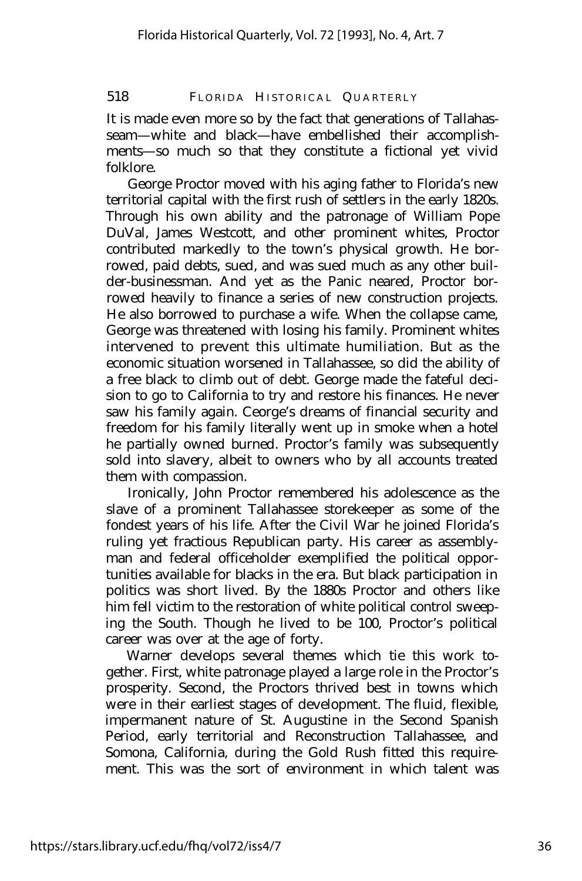It is made even more so by the fact that generations of Tallahasseam— white and black— have embellished their accomplishments— so much so that they constitute a fictional yet vivid folklore.

George Proctor moved with his aging father to Florida's new territorial capital with the first rush of settlers in the early 1820s. Through his own ability and the patronage of William Pope DuVal, James Westcott, and other prominent whites, Proctor contributed markedly to the town's physical growth. He borrowed, paid debts, sued, and was sued much as any other builder-businessman. And yet as the Panic neared, Proctor borrowed heavily to finance a series of new construction projects. He also borrowed to purchase a wife. When the collapse came, George was threatened with losing his family. Prominent whites intervened to prevent this ultimate humiliation. But as the economic situation worsened in Tallahassee, so did the ability of a free black to climb out of debt. George made the fateful decision to go to California to try and restore his finances. He never saw his family again. Ceorge's dreams of financial security and freedom for his family literally went up in smoke when a hotel he partially owned burned. Proctor's family was subsequently sold into slavery, albeit to owners who by all accounts treated them with compassion.

Ironically, John Proctor remembered his adolescence as the slave of a prominent Tallahassee storekeeper as some of the fondest years of his life. After the Civil War he joined Florida's ruling yet fractious Republican party. His career as assemblyman and federal officeholder exemplified the political opportunities available for blacks in the era. But black participation in politics was short lived. By the 1880s Proctor and others like him fell victim to the restoration of white political control sweeping the South. Though he lived to be 100, Proctor's political career was over at the age of forty.

Warner develops several themes which tie this work together. First, white patronage played a large role in the Proctor's prosperity. Second, the Proctors thrived best in towns which were in their earliest stages of development. The fluid, flexible, impermanent nature of St. Augustine in the Second Spanish Period, early territorial and Reconstruction Tallahassee, and Somona, California, during the Gold Rush fitted this requirement. This was the sort of environment in which talent was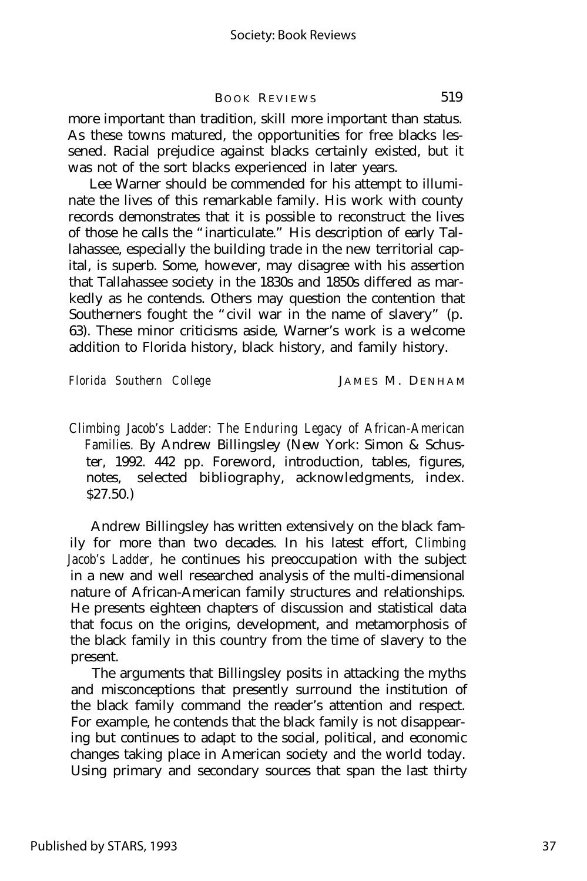more important than tradition, skill more important than status. As these towns matured, the opportunities for free blacks lessened. Racial prejudice against blacks certainly existed, but it was not of the sort blacks experienced in later years.

Lee Warner should be commended for his attempt to illuminate the lives of this remarkable family. His work with county records demonstrates that it is possible to reconstruct the lives of those he calls the "inarticulate." His description of early Tallahassee, especially the building trade in the new territorial capital, is superb. Some, however, may disagree with his assertion that Tallahassee society in the 1830s and 1850s differed as markedly as he contends. Others may question the contention that Southerners fought the "civil war in the name of slavery" (p. 63). These minor criticisms aside, Warner's work is a welcome addition to Florida history, black history, and family history.

Florida Southern College **JAMES M. DENHAM** 

*Climbing Jacob's Ladder: The Enduring Legacy of African-American Families.* By Andrew Billingsley (New York: Simon & Schuster, 1992. 442 pp. Foreword, introduction, tables, figures, notes, selected bibliography, acknowledgments, index. \$27.50.)

Andrew Billingsley has written extensively on the black family for more than two decades. In his latest effort, *Climbing Jacob's Ladder,* he continues his preoccupation with the subject in a new and well researched analysis of the multi-dimensional nature of African-American family structures and relationships. He presents eighteen chapters of discussion and statistical data that focus on the origins, development, and metamorphosis of the black family in this country from the time of slavery to the present.

The arguments that Billingsley posits in attacking the myths and misconceptions that presently surround the institution of the black family command the reader's attention and respect. For example, he contends that the black family is not disappearing but continues to adapt to the social, political, and economic changes taking place in American society and the world today. Using primary and secondary sources that span the last thirty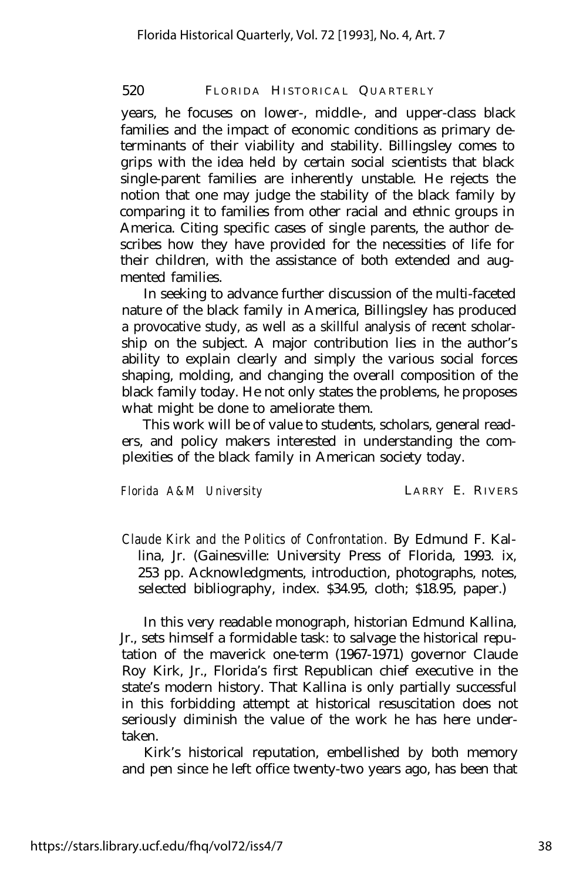years, he focuses on lower-, middle-, and upper-class black families and the impact of economic conditions as primary determinants of their viability and stability. Billingsley comes to grips with the idea held by certain social scientists that black single-parent families are inherently unstable. He rejects the notion that one may judge the stability of the black family by comparing it to families from other racial and ethnic groups in America. Citing specific cases of single parents, the author describes how they have provided for the necessities of life for their children, with the assistance of both extended and augmented families.

In seeking to advance further discussion of the multi-faceted nature of the black family in America, Billingsley has produced a provocative study, as well as a skillful analysis of recent scholarship on the subject. A major contribution lies in the author's ability to explain clearly and simply the various social forces shaping, molding, and changing the overall composition of the black family today. He not only states the problems, he proposes what might be done to ameliorate them.

This work will be of value to students, scholars, general readers, and policy makers interested in understanding the complexities of the black family in American society today.

*Florida A&M University* LARRY E. R IVERS

*Claude Kirk and the Politics of Confrontation.* By Edmund F. Kallina, Jr. (Gainesville: University Press of Florida, 1993. ix, 253 pp. Acknowledgments, introduction, photographs, notes, selected bibliography, index. \$34.95, cloth; \$18.95, paper.)

In this very readable monograph, historian Edmund Kallina, Jr., sets himself a formidable task: to salvage the historical reputation of the maverick one-term (1967-1971) governor Claude Roy Kirk, Jr., Florida's first Republican chief executive in the state's modern history. That Kallina is only partially successful in this forbidding attempt at historical resuscitation does not seriously diminish the value of the work he has here undertaken.

Kirk's historical reputation, embellished by both memory and pen since he left office twenty-two years ago, has been that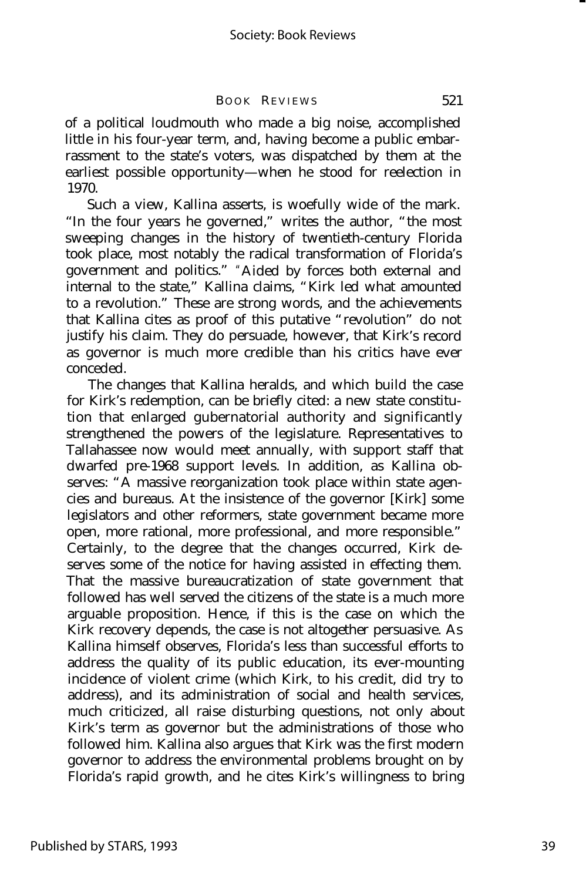of a political loudmouth who made a big noise, accomplished little in his four-year term, and, having become a public embarrassment to the state's voters, was dispatched by them at the earliest possible opportunity— when he stood for reelection in 1970.

Such a view, Kallina asserts, is woefully wide of the mark. "In the four years he governed," writes the author, "the most sweeping changes in the history of twentieth-century Florida took place, most notably the radical transformation of Florida's government and politics." "Aided by forces both external and internal to the state," Kallina claims, "Kirk led what amounted to a revolution." These are strong words, and the achievements that Kallina cites as proof of this putative "revolution" do not justify his claim. They do persuade, however, that Kirk's record as governor is much more credible than his critics have ever conceded.

The changes that Kallina heralds, and which build the case for Kirk's redemption, can be briefly cited: a new state constitution that enlarged gubernatorial authority and significantly strengthened the powers of the legislature. Representatives to Tallahassee now would meet annually, with support staff that dwarfed pre-1968 support levels. In addition, as Kallina observes: "A massive reorganization took place within state agencies and bureaus. At the insistence of the governor [Kirk] some legislators and other reformers, state government became more open, more rational, more professional, and more responsible." Certainly, to the degree that the changes occurred, Kirk deserves some of the notice for having assisted in effecting them. That the massive bureaucratization of state government that followed has well served the citizens of the state is a much more arguable proposition. Hence, if this is the case on which the Kirk recovery depends, the case is not altogether persuasive. As Kallina himself observes, Florida's less than successful efforts to address the quality of its public education, its ever-mounting incidence of violent crime (which Kirk, to his credit, did try to address), and its administration of social and health services, much criticized, all raise disturbing questions, not only about Kirk's term as governor but the administrations of those who followed him. Kallina also argues that Kirk was the first modern governor to address the environmental problems brought on by Florida's rapid growth, and he cites Kirk's willingness to bring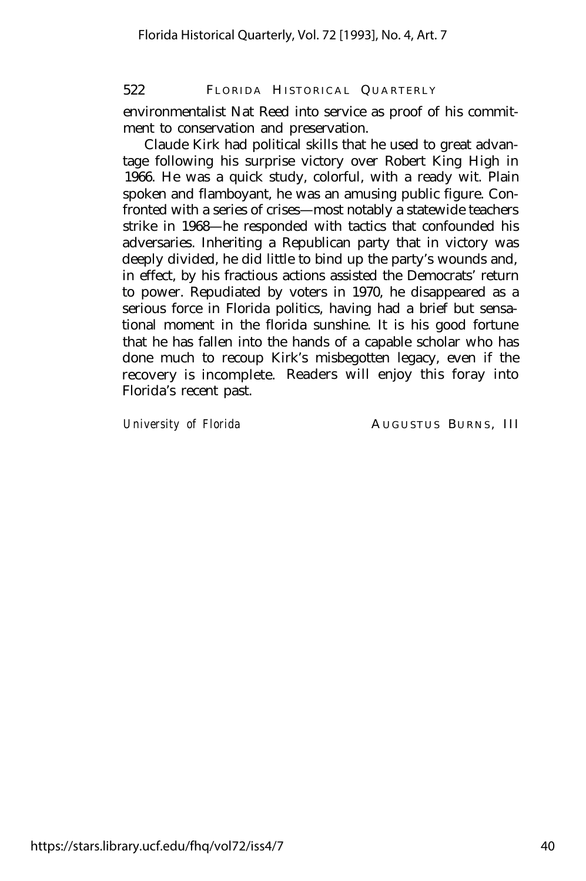environmentalist Nat Reed into service as proof of his commitment to conservation and preservation.

Claude Kirk had political skills that he used to great advantage following his surprise victory over Robert King High in 1966. He was a quick study, colorful, with a ready wit. Plain spoken and flamboyant, he was an amusing public figure. Confronted with a series of crises— most notably a statewide teachers strike in 1968— he responded with tactics that confounded his adversaries. Inheriting a Republican party that in victory was deeply divided, he did little to bind up the party's wounds and, in effect, by his fractious actions assisted the Democrats' return to power. Repudiated by voters in 1970, he disappeared as a serious force in Florida politics, having had a brief but sensational moment in the florida sunshine. It is his good fortune that he has fallen into the hands of a capable scholar who has done much to recoup Kirk's misbegotten legacy, even if the recovery is incomplete. Readers will enjoy this foray into Florida's recent past.

*University of Florida* AUGUSTUS BURNS, III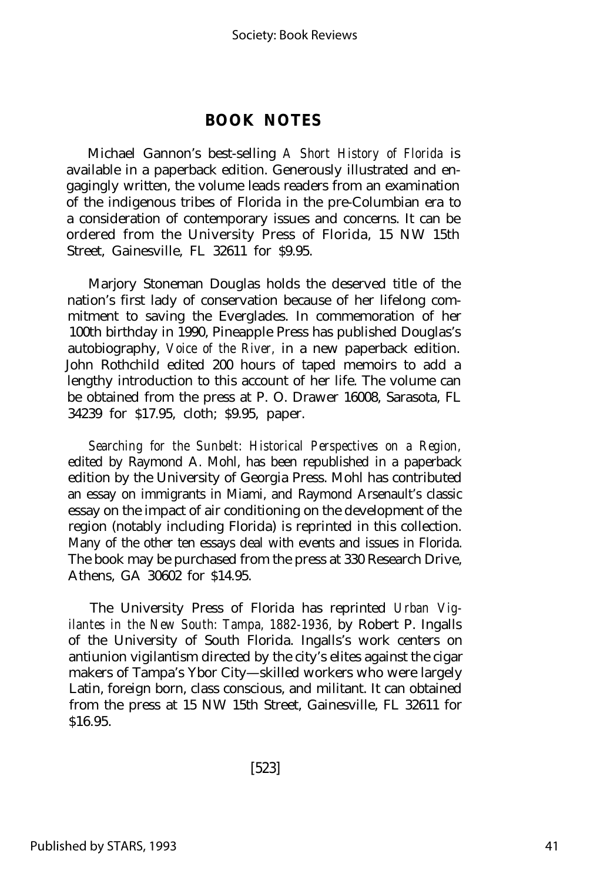# **BOOK NOTES**

Michael Gannon's best-selling *A Short History of Florida* is available in a paperback edition. Generously illustrated and engagingly written, the volume leads readers from an examination of the indigenous tribes of Florida in the pre-Columbian era to a consideration of contemporary issues and concerns. It can be ordered from the University Press of Florida, 15 NW 15th Street, Gainesville, FL 32611 for \$9.95.

Marjory Stoneman Douglas holds the deserved title of the nation's first lady of conservation because of her lifelong commitment to saving the Everglades. In commemoration of her 100th birthday in 1990, Pineapple Press has published Douglas's autobiography, *Voice of the River,* in a new paperback edition. John Rothchild edited 200 hours of taped memoirs to add a lengthy introduction to this account of her life. The volume can be obtained from the press at P. O. Drawer 16008, Sarasota, FL 34239 for \$17.95, cloth; \$9.95, paper.

*Searching for the Sunbelt: Historical Perspectives on a Region,* edited by Raymond A. Mohl, has been republished in a paperback edition by the University of Georgia Press. Mohl has contributed an essay on immigrants in Miami, and Raymond Arsenault's classic essay on the impact of air conditioning on the development of the region (notably including Florida) is reprinted in this collection. Many of the other ten essays deal with events and issues in Florida. The book may be purchased from the press at 330 Research Drive, Athens, GA 30602 for \$14.95.

The University Press of Florida has reprinted *Urban Vigilantes in the New South: Tampa, 1882-1936,* by Robert P. Ingalls of the University of South Florida. Ingalls's work centers on antiunion vigilantism directed by the city's elites against the cigar makers of Tampa's Ybor City— skilled workers who were largely Latin, foreign born, class conscious, and militant. It can obtained from the press at 15 NW 15th Street, Gainesville, FL 32611 for \$16.95.

[523]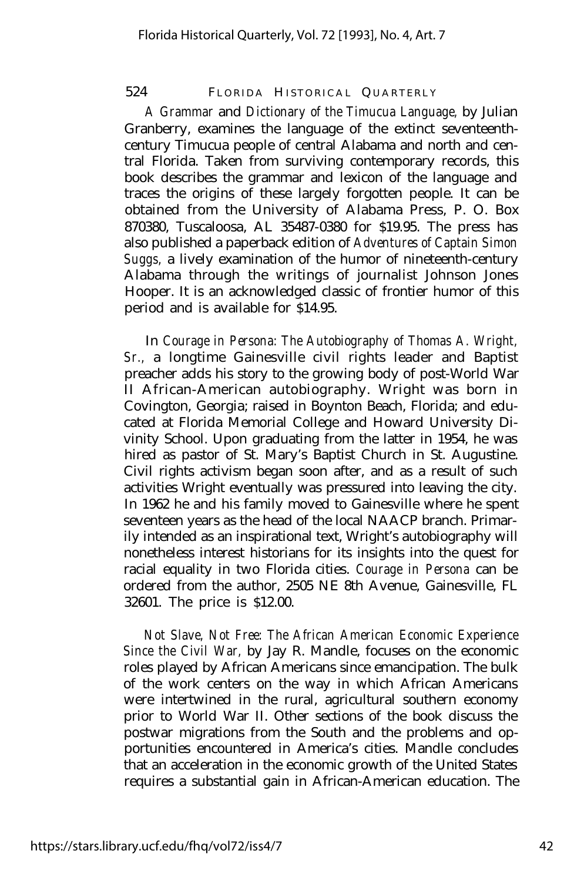*A Grammar* and *Dictionary of the Timucua Language,* by Julian Granberry, examines the language of the extinct seventeenthcentury Timucua people of central Alabama and north and central Florida. Taken from surviving contemporary records, this book describes the grammar and lexicon of the language and traces the origins of these largely forgotten people. It can be obtained from the University of Alabama Press, P. O. Box 870380, Tuscaloosa, AL 35487-0380 for \$19.95. The press has also published a paperback edition of *Adventures of Captain Simon Suggs,* a lively examination of the humor of nineteenth-century Alabama through the writings of journalist Johnson Jones Hooper. It is an acknowledged classic of frontier humor of this period and is available for \$14.95.

In *Courage in Persona: The Autobiography of Thomas A. Wright, Sr.,* a longtime Gainesville civil rights leader and Baptist preacher adds his story to the growing body of post-World War II African-American autobiography. Wright was born in Covington, Georgia; raised in Boynton Beach, Florida; and educated at Florida Memorial College and Howard University Divinity School. Upon graduating from the latter in 1954, he was hired as pastor of St. Mary's Baptist Church in St. Augustine. Civil rights activism began soon after, and as a result of such activities Wright eventually was pressured into leaving the city. In 1962 he and his family moved to Gainesville where he spent seventeen years as the head of the local NAACP branch. Primarily intended as an inspirational text, Wright's autobiography will nonetheless interest historians for its insights into the quest for racial equality in two Florida cities. *Courage in Persona* can be ordered from the author, 2505 NE 8th Avenue, Gainesville, FL 32601. The price is \$12.00.

*Not Slave, Not Free: The African American Economic Experience Since the Civil War,* by Jay R. Mandle, focuses on the economic roles played by African Americans since emancipation. The bulk of the work centers on the way in which African Americans were intertwined in the rural, agricultural southern economy prior to World War II. Other sections of the book discuss the postwar migrations from the South and the problems and opportunities encountered in America's cities. Mandle concludes that an acceleration in the economic growth of the United States requires a substantial gain in African-American education. The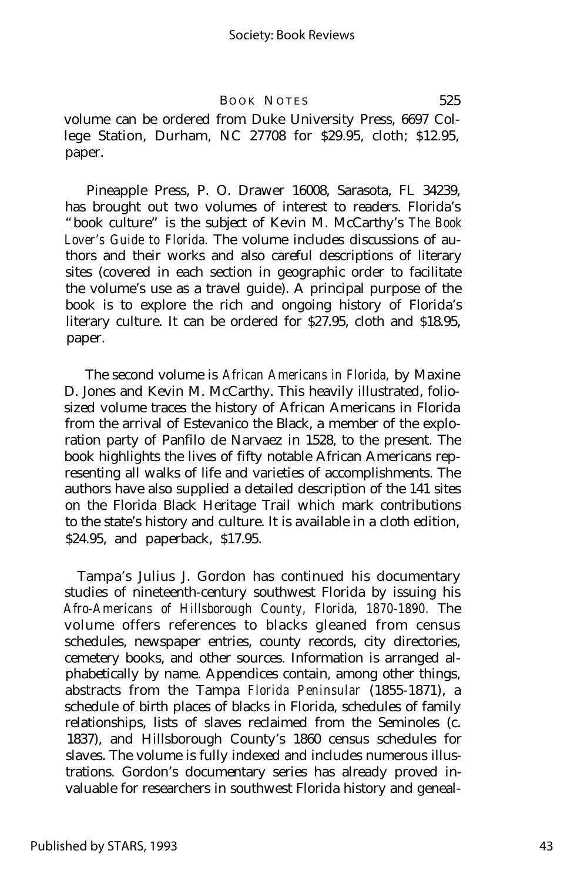BOOK NOTES 525

volume can be ordered from Duke University Press, 6697 College Station, Durham, NC 27708 for \$29.95, cloth; \$12.95, paper.

Pineapple Press, P. O. Drawer 16008, Sarasota, FL 34239, has brought out two volumes of interest to readers. Florida's "book culture" is the subject of Kevin M. McCarthy's *The Book Lover's Guide to Florida.* The volume includes discussions of authors and their works and also careful descriptions of literary sites (covered in each section in geographic order to facilitate the volume's use as a travel guide). A principal purpose of the book is to explore the rich and ongoing history of Florida's literary culture. It can be ordered for \$27.95, cloth and \$18.95, paper.

The second volume is *African Americans in Florida,* by Maxine D. Jones and Kevin M. McCarthy. This heavily illustrated, foliosized volume traces the history of African Americans in Florida from the arrival of Estevanico the Black, a member of the exploration party of Panfilo de Narvaez in 1528, to the present. The book highlights the lives of fifty notable African Americans representing all walks of life and varieties of accomplishments. The authors have also supplied a detailed description of the 141 sites on the Florida Black Heritage Trail which mark contributions to the state's history and culture. It is available in a cloth edition, \$24.95, and paperback, \$17.95.

Tampa's Julius J. Gordon has continued his documentary studies of nineteenth-century southwest Florida by issuing his *Afro-Americans of Hillsborough County, Florida, 1870-1890.* The volume offers references to blacks gleaned from census schedules, newspaper entries, county records, city directories, cemetery books, and other sources. Information is arranged alphabetically by name. Appendices contain, among other things, abstracts from the Tampa *Florida Peninsular* (1855-1871), a schedule of birth places of blacks in Florida, schedules of family relationships, lists of slaves reclaimed from the Seminoles (c. 1837), and Hillsborough County's 1860 census schedules for slaves. The volume is fully indexed and includes numerous illustrations. Gordon's documentary series has already proved invaluable for researchers in southwest Florida history and geneal-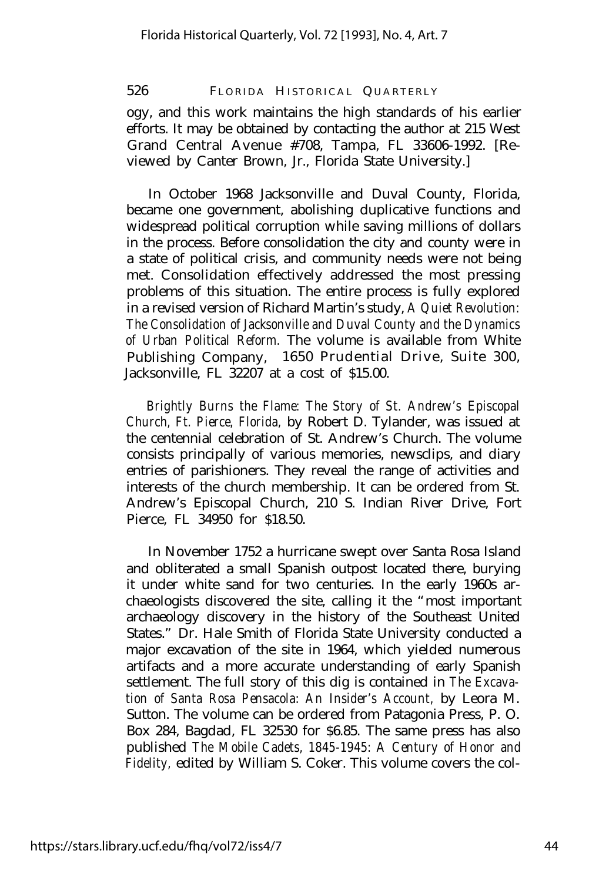ogy, and this work maintains the high standards of his earlier efforts. It may be obtained by contacting the author at 215 West Grand Central Avenue #708, Tampa, FL 33606-1992. [Reviewed by Canter Brown, Jr., Florida State University.]

In October 1968 Jacksonville and Duval County, Florida, became one government, abolishing duplicative functions and widespread political corruption while saving millions of dollars in the process. Before consolidation the city and county were in a state of political crisis, and community needs were not being met. Consolidation effectively addressed the most pressing problems of this situation. The entire process is fully explored in a revised version of Richard Martin's study, *A Quiet Revolution: The Consolidation of Jacksonville and Duval County and the Dynamics of Urban Political Reform.* The volume is available from White Publishing Company, 1650 Prudential Drive, Suite 300, Jacksonville, FL 32207 at a cost of \$15.00.

*Brightly Burns the Flame: The Story of St. Andrew's Episcopal Church, Ft. Pierce, Florida,* by Robert D. Tylander, was issued at the centennial celebration of St. Andrew's Church. The volume consists principally of various memories, newsclips, and diary entries of parishioners. They reveal the range of activities and interests of the church membership. It can be ordered from St. Andrew's Episcopal Church, 210 S. Indian River Drive, Fort Pierce, FL 34950 for \$18.50.

In November 1752 a hurricane swept over Santa Rosa Island and obliterated a small Spanish outpost located there, burying it under white sand for two centuries. In the early 1960s archaeologists discovered the site, calling it the "most important archaeology discovery in the history of the Southeast United States." Dr. Hale Smith of Florida State University conducted a major excavation of the site in 1964, which yielded numerous artifacts and a more accurate understanding of early Spanish settlement. The full story of this dig is contained in *The Excavation of Santa Rosa Pensacola: An Insider's Account,* by Leora M. Sutton. The volume can be ordered from Patagonia Press, P. O. Box 284, Bagdad, FL 32530 for \$6.85. The same press has also published *The Mobile Cadets, 1845-1945: A Century of Honor and Fidelity,* edited by William S. Coker. This volume covers the col-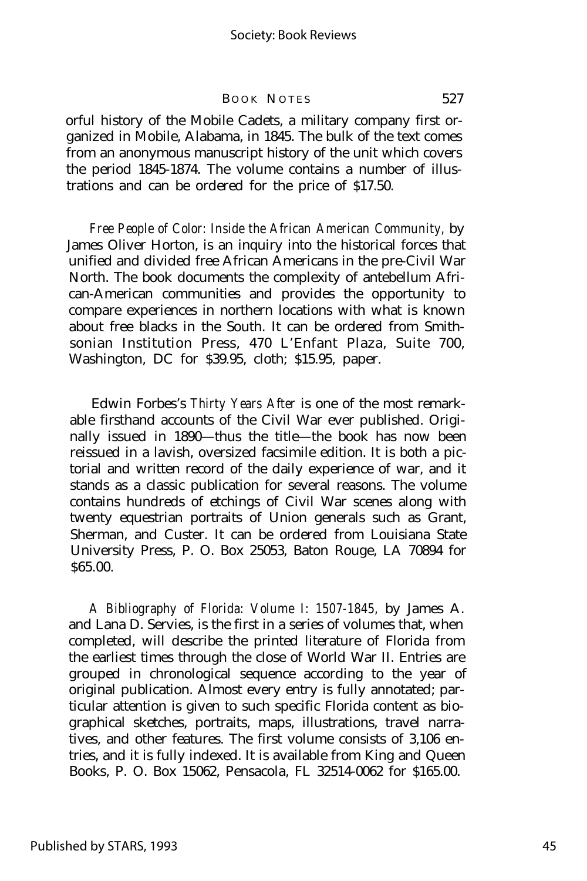#### BOOK NOTES 527

orful history of the Mobile Cadets, a military company first organized in Mobile, Alabama, in 1845. The bulk of the text comes from an anonymous manuscript history of the unit which covers the period 1845-1874. The volume contains a number of illustrations and can be ordered for the price of \$17.50.

*Free People of Color: Inside the African American Community,* by James Oliver Horton, is an inquiry into the historical forces that unified and divided free African Americans in the pre-Civil War North. The book documents the complexity of antebellum African-American communities and provides the opportunity to compare experiences in northern locations with what is known about free blacks in the South. It can be ordered from Smithsonian Institution Press, 470 L'Enfant Plaza, Suite 700, Washington, DC for \$39.95, cloth; \$15.95, paper.

Edwin Forbes's *Thirty Years After* is one of the most remarkable firsthand accounts of the Civil War ever published. Originally issued in 1890— thus the title— the book has now been reissued in a lavish, oversized facsimile edition. It is both a pictorial and written record of the daily experience of war, and it stands as a classic publication for several reasons. The volume contains hundreds of etchings of Civil War scenes along with twenty equestrian portraits of Union generals such as Grant, Sherman, and Custer. It can be ordered from Louisiana State University Press, P. O. Box 25053, Baton Rouge, LA 70894 for \$65.00.

*A Bibliography of Florida: Volume I: 1507-1845,* by James A. and Lana D. Servies, is the first in a series of volumes that, when completed, will describe the printed literature of Florida from the earliest times through the close of World War II. Entries are grouped in chronological sequence according to the year of original publication. Almost every entry is fully annotated; particular attention is given to such specific Florida content as biographical sketches, portraits, maps, illustrations, travel narratives, and other features. The first volume consists of 3,106 entries, and it is fully indexed. It is available from King and Queen Books, P. O. Box 15062, Pensacola, FL 32514-0062 for \$165.00.